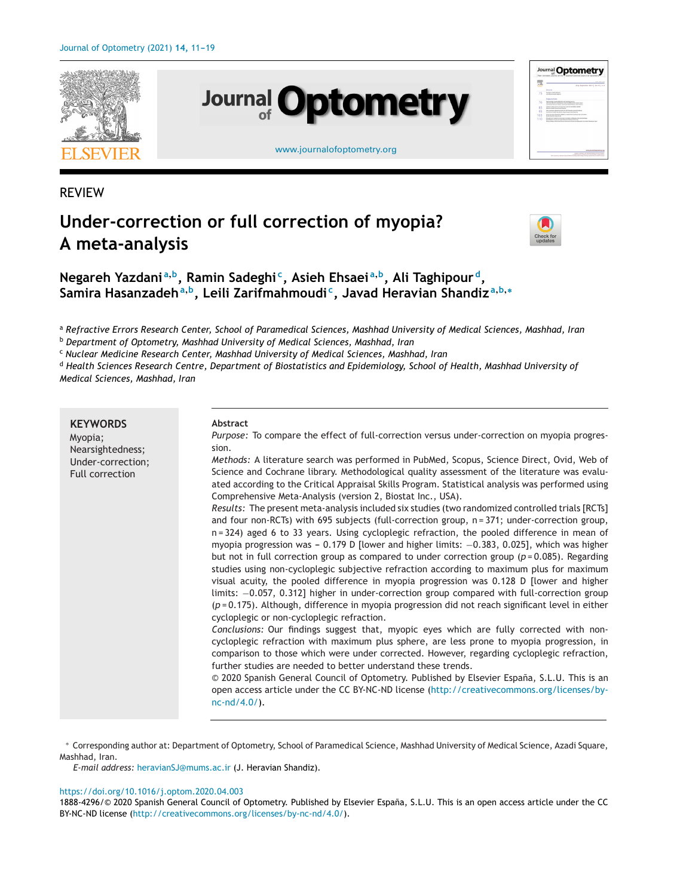





#### [www.journalofoptometry.org](http://www.journalofoptometry.org)

## REVIEW

# **Under-correction or full correction of myopia? A meta-analysis**



**Negareh Yazdani <sup>a</sup>,b, Ramin Sadeghi c, Asieh Ehsaei <sup>a</sup>,b, Ali Taghipour d, Samira Hasanzadeh<sup>a</sup>,b, Leili Zarifmahmoudi c, Javad Heravian Shandiz <sup>a</sup>,b,<sup>∗</sup>**

a Refractive Errors Research Center, School of Paramedical Sciences, Mashhad University of Medical Sciences, Mashhad, Iran

<sup>b</sup> *Department of Optometry, Mashhad University of Medical Sciences, Mashhad, Iran*

<sup>c</sup> *Nuclear Medicine Research Center, Mashhad University of Medical Sciences, Mashhad, Iran*

<sup>d</sup> Health Sciences Research Centre, Department of Biostatistics and Epidemiology, School of Health, Mashhad University of *Medical Sciences, Mashhad, Iran*

**KEYWORDS** Myopia; Nearsightedness; Under-correction; Full correction **Abstract** *Purpose:* To compare the effect of full-correction versus under-correction on myopia progression. *Methods:* A literature search was performed in PubMed, Scopus, Science Direct, Ovid, Web of Science and Cochrane library. Methodological quality assessment of the literature was evaluated according to the Critical Appraisal Skills Program. Statistical analysis was performed using Comprehensive Meta-Analysis (version 2, Biostat Inc., USA). *Results:* The present meta-analysis included six studies (two randomized controlled trials [RCTs] and four non-RCTs) with 695 subjects (full-correction group, n = 371; under-correction group, n = 324) aged 6 to 33 years. Using cycloplegic refraction, the pooled difference in mean of myopia progression was - 0.179 D [lower and higher limits: -0.383, 0.025], which was higher but not in full correction group as compared to under correction group  $(p=0.085)$ . Regarding studies using non-cycloplegic subjective refraction according to maximum plus for maximum visual acuity, the pooled difference in myopia progression was 0.128 D [lower and higher limits: −0.057, 0.312] higher in under-correction group compared with full-correction group (*p* = 0.175). Although, difference in myopia progression did not reach significant level in either cycloplegic or non-cycloplegic refraction. *Conclusions:* Our findings suggest that, myopic eyes which are fully corrected with noncycloplegic refraction with maximum plus sphere, are less prone to myopia progression, in comparison to those which were under corrected. However, regarding cycloplegic refraction, further studies are needed to better understand these trends. © 2020 Spanish General Council of Optometry. Published by Elsevier España, S.L.U. This is an open access article under the CC BY-NC-ND license [\(http://creativecommons.org/licenses/by](http://creativecommons.org/licenses/by-nc-nd/4.0/)[nc-nd/4.0/](http://creativecommons.org/licenses/by-nc-nd/4.0/)).

∗ Corresponding author at: Department of Optometry, School of Paramedical Science, Mashhad University of Medical Science, Azadi Square, Mashhad, Iran.

*E-mail address:* [heravianSJ@mums.ac.ir](mailto:heravianSJ@mums.ac.ir) (J. Heravian Shandiz).

#### <https://doi.org/10.1016/j.optom.2020.04.003>

1888-4296/© 2020 Spanish General Council of Optometry. Published by Elsevier España, S.L.U. This is an open access article under the CC BY-NC-ND license (<http://creativecommons.org/licenses/by-nc-nd/4.0/>).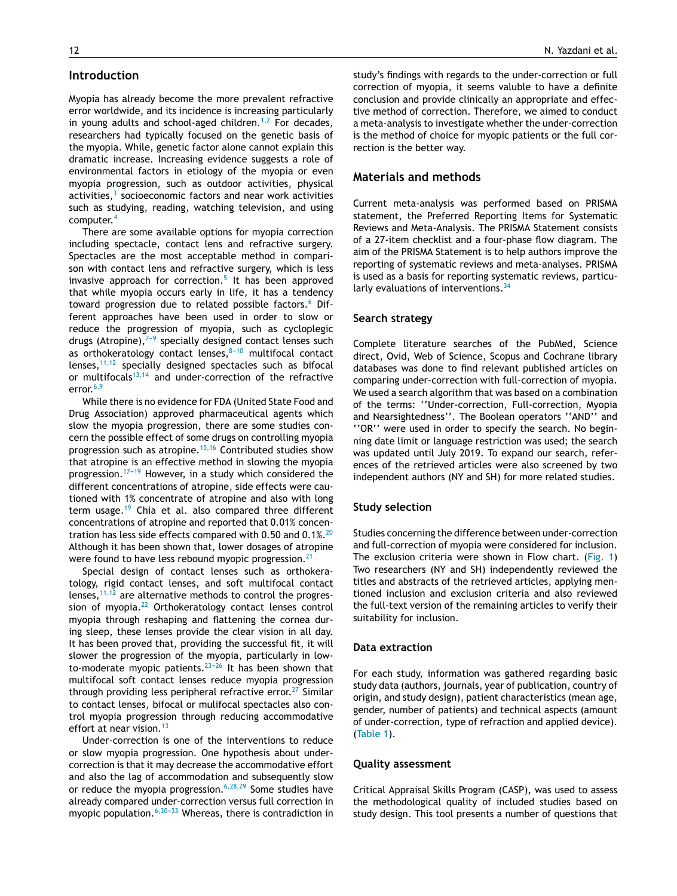## **Introduction**

Myopia has already become the more prevalent refractive error worldwide, and its incidence is increasing particularly in young adults and school-aged children.<sup>[1,2](#page-6-0)</sup> For decades, researchers had typically focused on the genetic basis of the myopia. While, genetic factor alone cannot explain this dramatic increase. Increasing evidence suggests a role of environmental factors in etiology of the myopia or even myopia progression, such as outdoor activities, physical activities, $3$  socioeconomic factors and near work activities such as studying, reading, watching television, and using computer.[4](#page-7-0)

There are some available options for myopia correction including spectacle, contact lens and refractive surgery. Spectacles are the most acceptable method in comparison with contact lens and refractive surgery, which is less invasive approach for correction.<sup>[5](#page-7-0)</sup> It has been approved that while myopia occurs early in life, it has a tendency toward progression due to related possible factors.<sup>[6](#page-7-0)</sup> Different approaches have been used in order to slow or reduce the progression of myopia, such as cycloplegic drugs (Atropine), $7-9$  specially designed contact lenses such as orthokeratology contact lenses, $8-10$  multifocal contact lenses,[11,12](#page-7-0) specially designed spectacles such as bifocal or multifocals $13,14$  and under-correction of the refractive error. $6,9$ 

While there is no evidence for FDA (United State Food and Drug Association) approved pharmaceutical agents which slow the myopia progression, there are some studies concern the possible effect of some drugs on controlling myopia progression such as atropine.<sup>[15,16](#page-7-0)</sup> Contributed studies show that atropine is an effective method in slowing the myopia progression.<sup>17-19</sup> However, in a study which considered the different concentrations of atropine, side effects were cautioned with 1% concentrate of atropine and also with long term usage.<sup>[19](#page-7-0)</sup> Chia et al. also compared three different concentrations of atropine and reported that 0.01% concen-tration has less side effects compared with 0.50 and 0.1%.<sup>[20](#page-7-0)</sup> Although it has been shown that, lower dosages of atropine were found to have less rebound myopic progression.<sup>[21](#page-7-0)</sup>

Special design of contact lenses such as orthokeratology, rigid contact lenses, and soft multifocal contact lenses,  $11,12$  are alternative methods to control the progres-sion of myopia.<sup>[22](#page-7-0)</sup> Orthokeratology contact lenses control myopia through reshaping and flattening the cornea during sleep, these lenses provide the clear vision in all day. It has been proved that, providing the successful fit, it will slower the progression of the myopia, particularly in lowto-moderate myopic patients. $23-26$  It has been shown that multifocal soft contact lenses reduce myopia progression through providing less peripheral refractive error.<sup>[27](#page-7-0)</sup> Similar to contact lenses, bifocal or mulifocal spectacles also control myopia progression through reducing accommodative effort at near vision. $13$ 

Under-correction is one of the interventions to reduce or slow myopia progression. One hypothesis about undercorrection is that it may decrease the accommodative effort and also the lag of accommodation and subsequently slow or reduce the myopia progression.<sup>[6,28,29](#page-7-0)</sup> Some studies have already compared under-correction versus full correction in myopic population. $6,30-33$  Whereas, there is contradiction in

study's findings with regards to the under-correction or full correction of myopia, it seems valuble to have a definite conclusion and provide clinically an appropriate and effective method of correction. Therefore, we aimed to conduct a meta-analysis to investigate whether the under-correction is the method of choice for myopic patients or the full correction is the better way.

### **Materials and methods**

Current meta-analysis was performed based on PRISMA statement, the Preferred Reporting Items for Systematic Reviews and Meta-Analysis. The PRISMA Statement consists of a 27-item checklist and a four-phase flow diagram. The aim of the PRISMA Statement is to help authors improve the reporting of systematic reviews and meta-analyses. PRISMA is used as a basis for reporting systematic reviews, particularly evaluations of interventions.  $34$ 

#### **Search strategy**

Complete literature searches of the PubMed, Science direct, Ovid, Web of Science, Scopus and Cochrane library databases was done to find relevant published articles on comparing under-correction with full-correction of myopia. We used a search algorithm that was based on a combination of the terms: ''Under-correction, Full-correction, Myopia and Nearsightedness''. The Boolean operators ''AND'' and ''OR'' were used in order to specify the search. No beginning date limit or language restriction was used; the search was updated until July 2019. To expand our search, references of the retrieved articles were also screened by two independent authors (NY and SH) for more related studies.

#### **Study selection**

Studies concerning the difference between under-correction and full-correction of myopia were considered for inclusion. The exclusion criteria were shown in Flow chart. [\(Fig.](#page-2-0) 1) Two researchers (NY and SH) independently reviewed the titles and abstracts of the retrieved articles, applying mentioned inclusion and exclusion criteria and also reviewed the full-text version of the remaining articles to verify their suitability for inclusion.

#### **Data extraction**

For each study, information was gathered regarding basic study data (authors, journals, year of publication, country of origin, and study design), patient characteristics (mean age, gender, number of patients) and technical aspects (amount of under-correction, type of refraction and applied device). [\(Table](#page-3-0) 1).

#### **Quality assessment**

Critical Appraisal Skills Program (CASP), was used to assess the methodological quality of included studies based on study design. This tool presents a number of questions that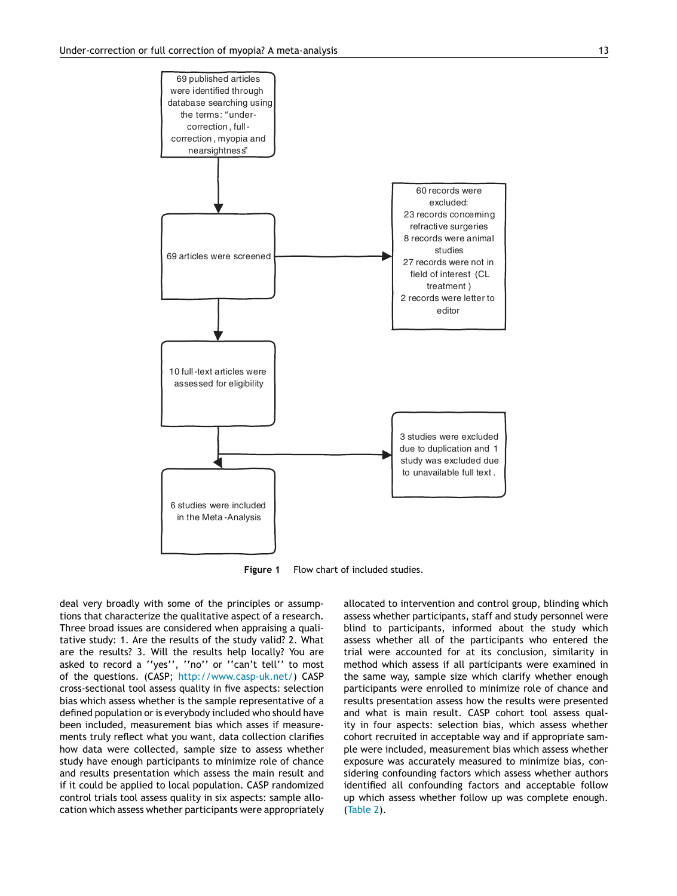<span id="page-2-0"></span>

**Figure 1** Flow chart of included studies.

deal very broadly with some of the principles or assumptions that characterize the qualitative aspect of a research. Three broad issues are considered when appraising a qualitative study: 1. Are the results of the study valid? 2. What are the results? 3. Will the results help locally? You are asked to record a ''yes'', ''no'' or ''can't tell'' to most of the questions. (CASP; [http://www.casp-uk.net/\)](http://www.casp-uk.net/) CASP cross-sectional tool assess quality in five aspects: selection bias which assess whether is the sample representative of a defined population or is everybody included who should have been included, measurement bias which asses if measurements truly reflect what you want, data collection clarifies how data were collected, sample size to assess whether study have enough participants to minimize role of chance and results presentation which assess the main result and if it could be applied to local population. CASP randomized control trials tool assess quality in six aspects: sample allocation which assess whether participants were appropriately allocated to intervention and control group, blinding which assess whether participants, staff and study personnel were blind to participants, informed about the study which assess whether all of the participants who entered the trial were accounted for at its conclusion, similarity in method which assess if all participants were examined in the same way, sample size which clarify whether enough participants were enrolled to minimize role of chance and results presentation assess how the results were presented and what is main result. CASP cohort tool assess quality in four aspects: selection bias, which assess whether cohort recruited in acceptable way and if appropriate sample were included, measurement bias which assess whether exposure was accurately measured to minimize bias, considering confounding factors which assess whether authors identified all confounding factors and acceptable follow up which assess whether follow up was complete enough. ([Table](#page-4-0) 2).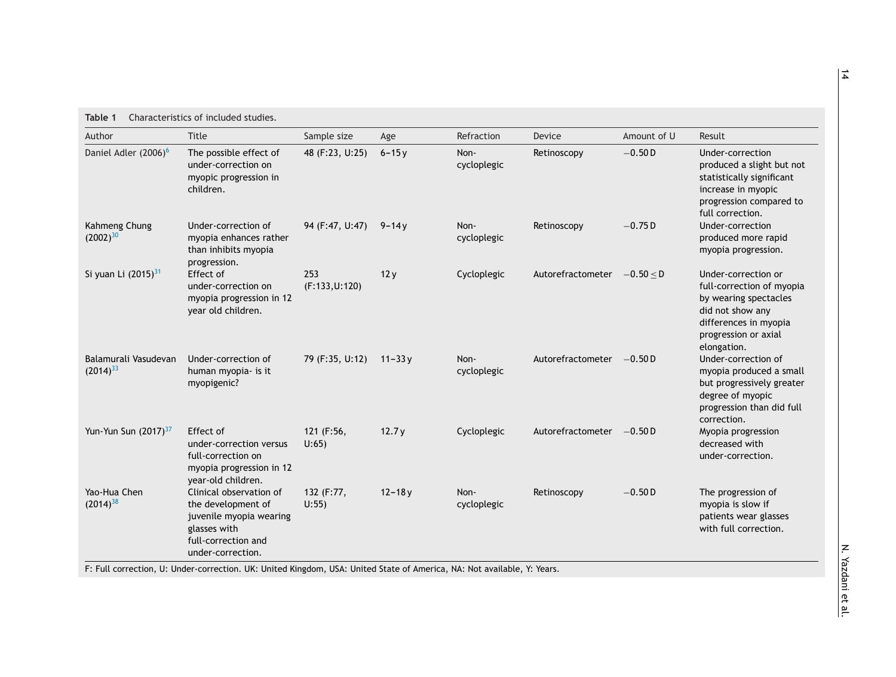<span id="page-3-0"></span>

| Author                                | <b>Title</b>                                                                                                                         | Sample size             | Age        | Refraction          | Device                      | Amount of U | Result                                                                                                                                                        |
|---------------------------------------|--------------------------------------------------------------------------------------------------------------------------------------|-------------------------|------------|---------------------|-----------------------------|-------------|---------------------------------------------------------------------------------------------------------------------------------------------------------------|
| Daniel Adler (2006) <sup>6</sup>      | The possible effect of<br>under-correction on<br>myopic progression in<br>children.                                                  | 48 (F:23, U:25)         | $6 - 15y$  | Non-<br>cycloplegic | Retinoscopy                 | $-0.50D$    | Under-correction<br>produced a slight but not<br>statistically significant<br>increase in myopic<br>progression compared to<br>full correction.               |
| Kahmeng Chung<br>$(2002)^{30}$        | Under-correction of<br>myopia enhances rather<br>than inhibits myopia<br>progression.                                                | 94 (F:47, U:47)         | $9 - 14y$  | Non-<br>cycloplegic | Retinoscopy                 | $-0.75D$    | Under-correction<br>produced more rapid<br>myopia progression.                                                                                                |
| Si yuan Li (2015) <sup>31</sup>       | Effect of<br>under-correction on<br>myopia progression in 12<br>year old children.                                                   | 253<br>(F:133, U:120)   | 12y        | Cycloplegic         | Autorefractometer -0.50 < D |             | Under-correction or<br>full-correction of myopia<br>by wearing spectacles<br>did not show any<br>differences in myopia<br>progression or axial<br>elongation. |
| Balamurali Vasudevan<br>$(2014)^{33}$ | Under-correction of<br>human myopia- is it<br>myopigenic?                                                                            | 79 (F:35, U:12) 11-33 y |            | Non-<br>cycloplegic | Autorefractometer -0.50 D   |             | Under-correction of<br>myopia produced a small<br>but progressively greater<br>degree of myopic<br>progression than did full<br>correction.                   |
| Yun-Yun Sun (2017) <sup>37</sup>      | Effect of<br>under-correction versus<br>full-correction on<br>myopia progression in 12<br>year-old children.                         | 121 (F:56,<br>$U:65$ )  | 12.7y      | Cycloplegic         | Autorefractometer -0.50 D   |             | Myopia progression<br>decreased with<br>under-correction.                                                                                                     |
| Yao-Hua Chen<br>$(2014)^{38}$         | Clinical observation of<br>the development of<br>juvenile myopia wearing<br>glasses with<br>full-correction and<br>under-correction. | 132 (F:77,<br>$U:55$ )  | $12 - 18y$ | Non-<br>cycloplegic | Retinoscopy                 | $-0.50D$    | The progression of<br>myopia is slow if<br>patients wear glasses<br>with full correction.                                                                     |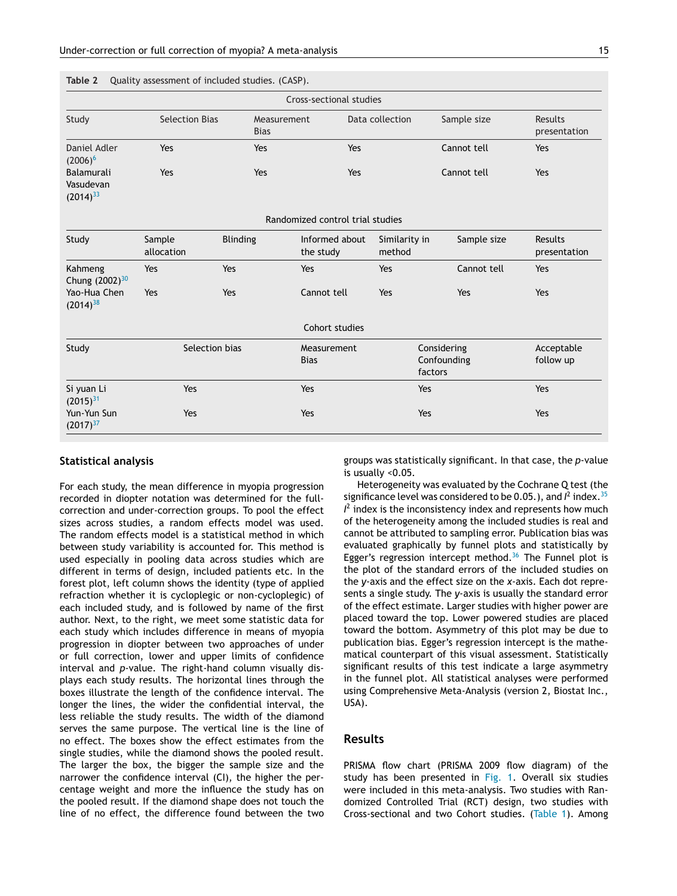<span id="page-4-0"></span>**Table 2** Quality assessment of included studies. (CASP).

| Cross-sectional studies                  |                       |                            |                                  |                         |                                       |                         |  |  |  |  |  |
|------------------------------------------|-----------------------|----------------------------|----------------------------------|-------------------------|---------------------------------------|-------------------------|--|--|--|--|--|
| Study                                    | <b>Selection Bias</b> | Measurement<br><b>Bias</b> |                                  | Data collection         | Sample size                           | Results<br>presentation |  |  |  |  |  |
| Daniel Adler<br>$(2006)^6$               | Yes                   | Yes                        | Yes                              |                         | Cannot tell                           | Yes                     |  |  |  |  |  |
| Balamurali<br>Vasudevan<br>$(2014)^{33}$ | Yes                   | Yes                        | Yes                              |                         | Cannot tell                           | Yes                     |  |  |  |  |  |
|                                          |                       |                            | Randomized control trial studies |                         |                                       |                         |  |  |  |  |  |
| Study                                    | Sample<br>allocation  | <b>Blinding</b>            | Informed about<br>the study      | Similarity in<br>method | Sample size                           | Results<br>presentation |  |  |  |  |  |
| Kahmeng<br>Chung (2002) <sup>30</sup>    | Yes                   | Yes                        | Yes                              | Yes                     | Cannot tell                           | Yes                     |  |  |  |  |  |
| Yao-Hua Chen<br>$(2014)^{38}$            | Yes                   | Yes                        | Cannot tell                      | Yes                     | Yes                                   | Yes                     |  |  |  |  |  |
|                                          |                       |                            | Cohort studies                   |                         |                                       |                         |  |  |  |  |  |
| Study                                    | Selection bias        |                            | Measurement<br><b>Bias</b>       |                         | Considering<br>Confounding<br>factors | Acceptable<br>follow up |  |  |  |  |  |
| Si yuan Li<br>$(2015)^{31}$              | Yes                   |                            | Yes                              | Yes                     |                                       | Yes                     |  |  |  |  |  |
| Yun-Yun Sun<br>$(2017)^{37}$             | Yes                   |                            | Yes                              | Yes                     |                                       | Yes                     |  |  |  |  |  |

#### **Statistical analysis**

For each study, the mean difference in myopia progression recorded in diopter notation was determined for the fullcorrection and under-correction groups. To pool the effect sizes across studies, a random effects model was used. The random effects model is a statistical method in which between study variability is accounted for. This method is used especially in pooling data across studies which are different in terms of design, included patients etc. In the forest plot, left column shows the identity (type of applied refraction whether it is cycloplegic or non-cycloplegic) of each included study, and is followed by name of the first author. Next, to the right, we meet some statistic data for each study which includes difference in means of myopia progression in diopter between two approaches of under or full correction, lower and upper limits of confidence interval and *p*-value. The right-hand column visually displays each study results. The horizontal lines through the boxes illustrate the length of the confidence interval. The longer the lines, the wider the confidential interval, the less reliable the study results. The width of the diamond serves the same purpose. The vertical line is the line of no effect. The boxes show the effect estimates from the single studies, while the diamond shows the pooled result. The larger the box, the bigger the sample size and the narrower the confidence interval (CI), the higher the percentage weight and more the influence the study has on the pooled result. If the diamond shape does not touch the line of no effect, the difference found between the two

groups was statistically significant. In that case, the *p*-value is usually <0.05.

Heterogeneity was evaluated by the Cochrane Q test (the significance level was considered to be 0.05.), and  $l^2$  index.<sup>[35](#page-7-0)</sup>  $I<sup>2</sup>$  index is the inconsistency index and represents how much of the heterogeneity among the included studies is real and cannot be attributed to sampling error. Publication bias was evaluated graphically by funnel plots and statistically by Egger's regression intercept method. $36$  The Funnel plot is the plot of the standard errors of the included studies on the *y*-axis and the effect size on the *x*-axis. Each dot represents a single study. The *y*-axis is usually the standard error of the effect estimate. Larger studies with higher power are placed toward the top. Lower powered studies are placed toward the bottom. Asymmetry of this plot may be due to publication bias. Egger's regression intercept is the mathematical counterpart of this visual assessment. Statistically significant results of this test indicate a large asymmetry in the funnel plot. All statistical analyses were performed using Comprehensive Meta-Analysis (version 2, Biostat Inc., USA).

## **Results**

PRISMA flow chart (PRISMA 2009 flow diagram) of the study has been presented in [Fig.](#page-2-0) 1. Overall six studies were included in this meta-analysis. Two studies with Randomized Controlled Trial (RCT) design, two studies with Cross-sectional and two Cohort studies. [\(Table](#page-3-0) 1). Among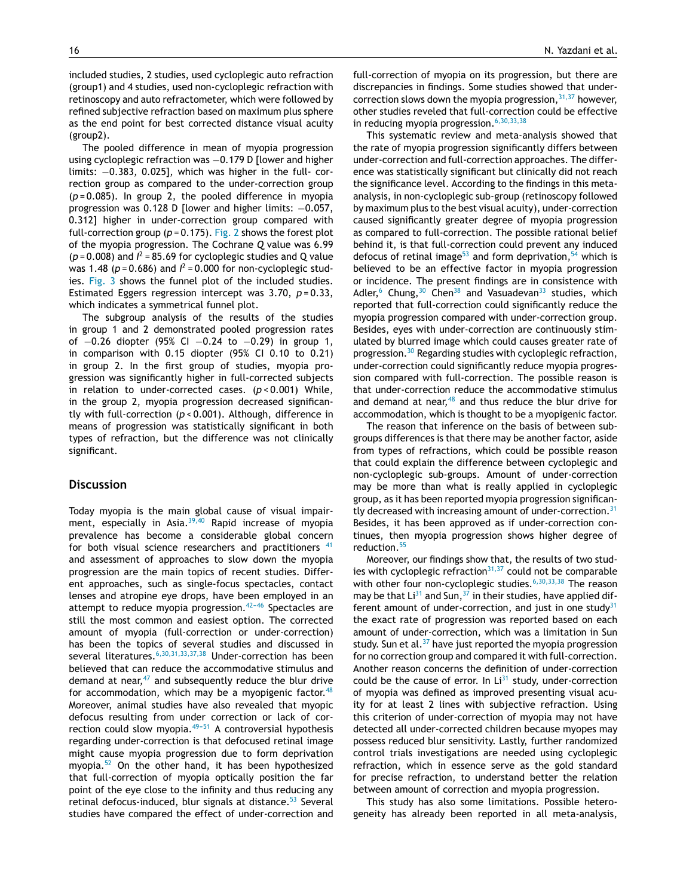included studies, 2 studies, used cycloplegic auto refraction (group1) and 4 studies, used non-cycloplegic refraction with retinoscopy and auto refractometer, which were followed by refined subjective refraction based on maximum plus sphere as the end point for best corrected distance visual acuity (group2).

The pooled difference in mean of myopia progression using cycloplegic refraction was −0.179 D [lower and higher limits: −0.383, 0.025], which was higher in the full- correction group as compared to the under-correction group (*p* = 0.085). In group 2, the pooled difference in myopia progression was 0.128 D [lower and higher limits: -0.057, 0.312] higher in under-correction group compared with full-correction group ( $p = 0.175$ ). [Fig.](#page-6-0) 2 shows the forest plot of the myopia progression. The Cochrane *Q* value was 6.99  $(p = 0.008)$  and  $l^2 = 85.69$  for cycloplegic studies and Q value was 1.48 ( $p = 0.686$ ) and  $l^2 = 0.000$  for non-cycloplegic studies. [Fig.](#page-6-0) 3 shows the funnel plot of the included studies. Estimated Eggers regression intercept was 3.70, *p* = 0.33, which indicates a symmetrical funnel plot.

The subgroup analysis of the results of the studies in group 1 and 2 demonstrated pooled progression rates of −0.26 diopter (95% CI −0.24 to −0.29) in group 1, in comparison with 0.15 diopter (95% CI 0.10 to 0.21) in group 2. In the first group of studies, myopia progression was significantly higher in full-corrected subjects in relation to under-corrected cases. (*p* < 0.001) While, in the group 2, myopia progression decreased significantly with full-correction (*p* < 0.001). Although, difference in means of progression was statistically significant in both types of refraction, but the difference was not clinically significant.

#### **Discussion**

Today myopia is the main global cause of visual impair-ment, especially in Asia.<sup>[39,40](#page-7-0)</sup> Rapid increase of myopia prevalence has become a considerable global concern for both visual science researchers and practitioners <sup>[41](#page-7-0)</sup> and assessment of approaches to slow down the myopia progression are the main topics of recent studies. Different approaches, such as single-focus spectacles, contact lenses and atropine eye drops, have been employed in an attempt to reduce myopia progression. $42-46$  Spectacles are still the most common and easiest option. The corrected amount of myopia (full-correction or under-correction) has been the topics of several studies and discussed in several literatures.<sup>[6,30,31,33,37,38](#page-7-0)</sup> Under-correction has been believed that can reduce the accommodative stimulus and demand at near, $47$  and subsequently reduce the blur drive for accommodation, which may be a myopigenic factor. $48$ Moreover, animal studies have also revealed that myopic defocus resulting from under correction or lack of correction could slow myopia. $49-51$  A controversial hypothesis regarding under-correction is that defocused retinal image might cause myopia progression due to form deprivation myopia.[52](#page-8-0) On the other hand, it has been hypothesized that full-correction of myopia optically position the far point of the eye close to the infinity and thus reducing any retinal defocus-induced, blur signals at distance.<sup>[53](#page-8-0)</sup> Several studies have compared the effect of under-correction and full-correction of myopia on its progression, but there are discrepancies in findings. Some studies showed that undercorrection slows down the myopia progression,  $31,37$  however, other studies reveled that full-correction could be effective in reducing myopia progression.  $6,30,33,38$ 

This systematic review and meta-analysis showed that the rate of myopia progression significantly differs between under-correction and full-correction approaches. The difference was statistically significant but clinically did not reach the significance level. According to the findings in this metaanalysis, in non-cycloplegic sub-group (retinoscopy followed by maximum plus to the best visual acuity), under-correction caused significantly greater degree of myopia progression as compared to full-correction. The possible rational belief behind it, is that full-correction could prevent any induced defocus of retinal image<sup>[53](#page-8-0)</sup> and form deprivation,  $54$  which is believed to be an effective factor in myopia progression or incidence. The present findings are in consistence with Adler,<sup>[6](#page-7-0)</sup> Chung, <sup>[30](#page-7-0)</sup> Chen<sup>[38](#page-7-0)</sup> and Vasuadevan<sup>[33](#page-7-0)</sup> studies, which reported that full-correction could significantly reduce the myopia progression compared with under-correction group. Besides, eyes with under-correction are continuously stimulated by blurred image which could causes greater rate of progression.[30](#page-7-0) Regarding studies with cycloplegic refraction, under-correction could significantly reduce myopia progression compared with full-correction. The possible reason is that under-correction reduce the accommodative stimulus and demand at near,  $48$  and thus reduce the blur drive for accommodation, which is thought to be a myopigenic factor.

The reason that inference on the basis of between subgroups differences is that there may be another factor, aside from types of refractions, which could be possible reason that could explain the difference between cycloplegic and non-cycloplegic sub-groups. Amount of under-correction may be more than what is really applied in cycloplegic group, as it has been reported myopia progression significan-tly decreased with increasing amount of under-correction.<sup>[31](#page-7-0)</sup> Besides, it has been approved as if under-correction continues, then myopia progression shows higher degree of reduction.<sup>[55](#page-8-0)</sup>

Moreover, our findings show that, the results of two studies with cycloplegic refraction $31,37$  could not be comparable with other four non-cycloplegic studies. $6,30,33,38$  The reason may be that  $Li^{31}$  $Li^{31}$  $Li^{31}$  and Sun,  $37$  in their studies, have applied dif-ferent amount of under-correction, and just in one study<sup>[31](#page-7-0)</sup> the exact rate of progression was reported based on each amount of under-correction, which was a limitation in Sun study. Sun et al. $37$  have just reported the myopia progression for no correction group and compared it with full-correction. Another reason concerns the definition of under-correction could be the cause of error. In  $Li<sup>31</sup>$  $Li<sup>31</sup>$  $Li<sup>31</sup>$  study, under-correction of myopia was defined as improved presenting visual acuity for at least 2 lines with subjective refraction. Using this criterion of under-correction of myopia may not have detected all under-corrected children because myopes may possess reduced blur sensitivity. Lastly, further randomized control trials investigations are needed using cycloplegic refraction, which in essence serve as the gold standard for precise refraction, to understand better the relation between amount of correction and myopia progression.

This study has also some limitations. Possible heterogeneity has already been reported in all meta-analysis,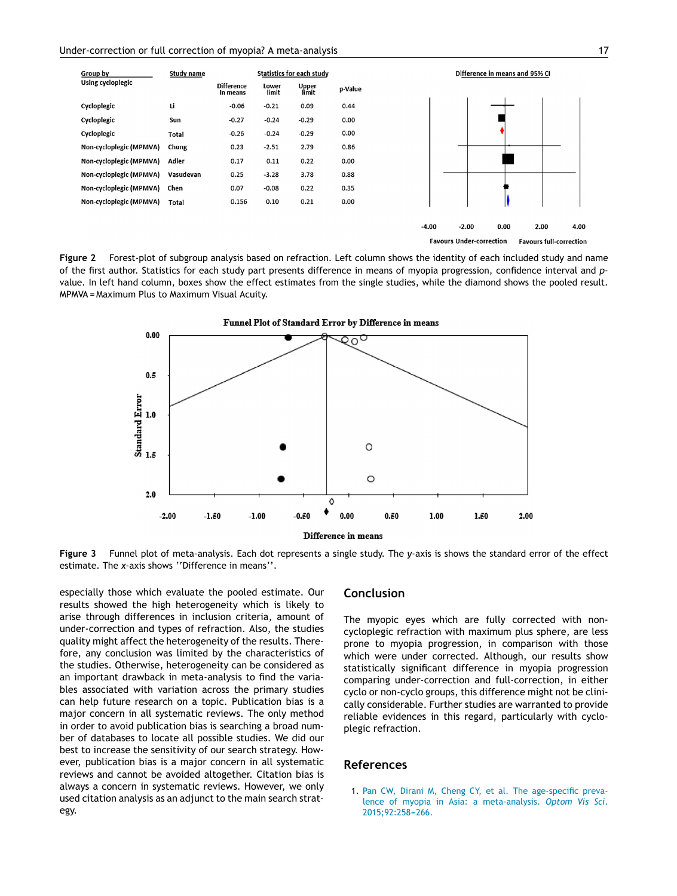<span id="page-6-0"></span>

**Favours Under-correction Favours full-correction** 

**Figure 2** Forest-plot of subgroup analysis based on refraction. Left column shows the identity of each included study and name of the first author. Statistics for each study part presents difference in means of myopia progression, confidence interval and *p*value. In left hand column, boxes show the effect estimates from the single studies, while the diamond shows the pooled result. MPMVA = Maximum Plus to Maximum Visual Acuity.



**Figure 3** Funnel plot of meta-analysis. Each dot represents a single study. The *y*-axis is shows the standard error of the effect estimate. The *x*-axis shows ''Difference in means''.

especially those which evaluate the pooled estimate. Our results showed the high heterogeneity which is likely to arise through differences in inclusion criteria, amount of under-correction and types of refraction. Also, the studies quality might affect the heterogeneity of the results. Therefore, any conclusion was limited by the characteristics of the studies. Otherwise, heterogeneity can be considered as an important drawback in meta-analysis to find the variables associated with variation across the primary studies can help future research on a topic. Publication bias is a major concern in all systematic reviews. The only method in order to avoid publication bias is searching a broad number of databases to locate all possible studies. We did our best to increase the sensitivity of our search strategy. However, publication bias is a major concern in all systematic reviews and cannot be avoided altogether. Citation bias is always a concern in systematic reviews. However, we only used citation analysis as an adjunct to the main search strategy.

#### **Conclusion**

The myopic eyes which are fully corrected with noncycloplegic refraction with maximum plus sphere, are less prone to myopia progression, in comparison with those which were under corrected. Although, our results show statistically significant difference in myopia progression comparing under-correction and full-correction, in either cyclo or non-cyclo groups, this difference might not be clinically considerable. Further studies are warranted to provide reliable evidences in this regard, particularly with cycloplegic refraction.

#### **References**

1. [Pan](http://refhub.elsevier.com/S1888-4296(20)30053-4/sbref0280) [CW,](http://refhub.elsevier.com/S1888-4296(20)30053-4/sbref0280) [Dirani](http://refhub.elsevier.com/S1888-4296(20)30053-4/sbref0280) [M,](http://refhub.elsevier.com/S1888-4296(20)30053-4/sbref0280) [Cheng](http://refhub.elsevier.com/S1888-4296(20)30053-4/sbref0280) [CY,](http://refhub.elsevier.com/S1888-4296(20)30053-4/sbref0280) [et](http://refhub.elsevier.com/S1888-4296(20)30053-4/sbref0280) [al.](http://refhub.elsevier.com/S1888-4296(20)30053-4/sbref0280) [The](http://refhub.elsevier.com/S1888-4296(20)30053-4/sbref0280) [age-specific](http://refhub.elsevier.com/S1888-4296(20)30053-4/sbref0280) [preva](http://refhub.elsevier.com/S1888-4296(20)30053-4/sbref0280)[lence](http://refhub.elsevier.com/S1888-4296(20)30053-4/sbref0280) [of](http://refhub.elsevier.com/S1888-4296(20)30053-4/sbref0280) [myopia](http://refhub.elsevier.com/S1888-4296(20)30053-4/sbref0280) [in](http://refhub.elsevier.com/S1888-4296(20)30053-4/sbref0280) [Asia:](http://refhub.elsevier.com/S1888-4296(20)30053-4/sbref0280) [a](http://refhub.elsevier.com/S1888-4296(20)30053-4/sbref0280) [meta-analysis.](http://refhub.elsevier.com/S1888-4296(20)30053-4/sbref0280) *[Optom](http://refhub.elsevier.com/S1888-4296(20)30053-4/sbref0280) [Vis](http://refhub.elsevier.com/S1888-4296(20)30053-4/sbref0280) [Sci](http://refhub.elsevier.com/S1888-4296(20)30053-4/sbref0280)*[.](http://refhub.elsevier.com/S1888-4296(20)30053-4/sbref0280) 2015;92:258-266.

 $4.00$ 

 $2.00$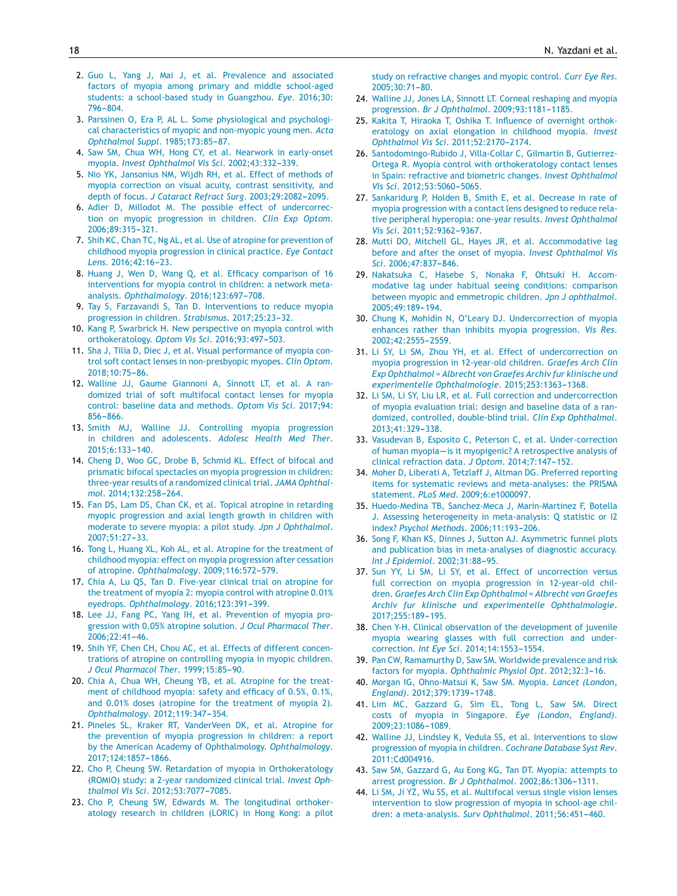- <span id="page-7-0"></span>2. [Guo](http://refhub.elsevier.com/S1888-4296(20)30053-4/sbref0285) [L,](http://refhub.elsevier.com/S1888-4296(20)30053-4/sbref0285) [Yang](http://refhub.elsevier.com/S1888-4296(20)30053-4/sbref0285) [J,](http://refhub.elsevier.com/S1888-4296(20)30053-4/sbref0285) [Mai](http://refhub.elsevier.com/S1888-4296(20)30053-4/sbref0285) [J,](http://refhub.elsevier.com/S1888-4296(20)30053-4/sbref0285) [et](http://refhub.elsevier.com/S1888-4296(20)30053-4/sbref0285) [al.](http://refhub.elsevier.com/S1888-4296(20)30053-4/sbref0285) [Prevalence](http://refhub.elsevier.com/S1888-4296(20)30053-4/sbref0285) [and](http://refhub.elsevier.com/S1888-4296(20)30053-4/sbref0285) [associated](http://refhub.elsevier.com/S1888-4296(20)30053-4/sbref0285) [factors](http://refhub.elsevier.com/S1888-4296(20)30053-4/sbref0285) [of](http://refhub.elsevier.com/S1888-4296(20)30053-4/sbref0285) [myopia](http://refhub.elsevier.com/S1888-4296(20)30053-4/sbref0285) [among](http://refhub.elsevier.com/S1888-4296(20)30053-4/sbref0285) [primary](http://refhub.elsevier.com/S1888-4296(20)30053-4/sbref0285) [and](http://refhub.elsevier.com/S1888-4296(20)30053-4/sbref0285) [middle](http://refhub.elsevier.com/S1888-4296(20)30053-4/sbref0285) [school-aged](http://refhub.elsevier.com/S1888-4296(20)30053-4/sbref0285) [students:](http://refhub.elsevier.com/S1888-4296(20)30053-4/sbref0285) [a](http://refhub.elsevier.com/S1888-4296(20)30053-4/sbref0285) [school-based](http://refhub.elsevier.com/S1888-4296(20)30053-4/sbref0285) [study](http://refhub.elsevier.com/S1888-4296(20)30053-4/sbref0285) [in](http://refhub.elsevier.com/S1888-4296(20)30053-4/sbref0285) [Guangzhou.](http://refhub.elsevier.com/S1888-4296(20)30053-4/sbref0285) *[Eye](http://refhub.elsevier.com/S1888-4296(20)30053-4/sbref0285)*[.](http://refhub.elsevier.com/S1888-4296(20)30053-4/sbref0285) [2016;30:](http://refhub.elsevier.com/S1888-4296(20)30053-4/sbref0285) 796-804.
- 3. [Parssinen](http://refhub.elsevier.com/S1888-4296(20)30053-4/sbref0290) [O,](http://refhub.elsevier.com/S1888-4296(20)30053-4/sbref0290) [Era](http://refhub.elsevier.com/S1888-4296(20)30053-4/sbref0290) [P,](http://refhub.elsevier.com/S1888-4296(20)30053-4/sbref0290) [AL](http://refhub.elsevier.com/S1888-4296(20)30053-4/sbref0290) [L.](http://refhub.elsevier.com/S1888-4296(20)30053-4/sbref0290) [Some](http://refhub.elsevier.com/S1888-4296(20)30053-4/sbref0290) [physiological](http://refhub.elsevier.com/S1888-4296(20)30053-4/sbref0290) [and](http://refhub.elsevier.com/S1888-4296(20)30053-4/sbref0290) [psychologi](http://refhub.elsevier.com/S1888-4296(20)30053-4/sbref0290)[cal](http://refhub.elsevier.com/S1888-4296(20)30053-4/sbref0290) [characteristics](http://refhub.elsevier.com/S1888-4296(20)30053-4/sbref0290) [of](http://refhub.elsevier.com/S1888-4296(20)30053-4/sbref0290) [myopic](http://refhub.elsevier.com/S1888-4296(20)30053-4/sbref0290) [and](http://refhub.elsevier.com/S1888-4296(20)30053-4/sbref0290) [non-myopic](http://refhub.elsevier.com/S1888-4296(20)30053-4/sbref0290) [young](http://refhub.elsevier.com/S1888-4296(20)30053-4/sbref0290) [men.](http://refhub.elsevier.com/S1888-4296(20)30053-4/sbref0290) *[Acta](http://refhub.elsevier.com/S1888-4296(20)30053-4/sbref0290) [Ophthalmol](http://refhub.elsevier.com/S1888-4296(20)30053-4/sbref0290) [Suppl](http://refhub.elsevier.com/S1888-4296(20)30053-4/sbref0290)[.](http://refhub.elsevier.com/S1888-4296(20)30053-4/sbref0290)* 1985;173:85-87.
- 4. [Saw](http://refhub.elsevier.com/S1888-4296(20)30053-4/sbref0295) [SM,](http://refhub.elsevier.com/S1888-4296(20)30053-4/sbref0295) [Chua](http://refhub.elsevier.com/S1888-4296(20)30053-4/sbref0295) [WH,](http://refhub.elsevier.com/S1888-4296(20)30053-4/sbref0295) [Hong](http://refhub.elsevier.com/S1888-4296(20)30053-4/sbref0295) [CY,](http://refhub.elsevier.com/S1888-4296(20)30053-4/sbref0295) [et](http://refhub.elsevier.com/S1888-4296(20)30053-4/sbref0295) [al.](http://refhub.elsevier.com/S1888-4296(20)30053-4/sbref0295) [Nearwork](http://refhub.elsevier.com/S1888-4296(20)30053-4/sbref0295) [in](http://refhub.elsevier.com/S1888-4296(20)30053-4/sbref0295) [early-onset](http://refhub.elsevier.com/S1888-4296(20)30053-4/sbref0295) [myopia.](http://refhub.elsevier.com/S1888-4296(20)30053-4/sbref0295) *[Invest](http://refhub.elsevier.com/S1888-4296(20)30053-4/sbref0295) [Ophthalmol](http://refhub.elsevier.com/S1888-4296(20)30053-4/sbref0295) [Vis](http://refhub.elsevier.com/S1888-4296(20)30053-4/sbref0295) [Sci](http://refhub.elsevier.com/S1888-4296(20)30053-4/sbref0295)*[.](http://refhub.elsevier.com/S1888-4296(20)30053-4/sbref0295) [2002;43:332---339.](http://refhub.elsevier.com/S1888-4296(20)30053-4/sbref0295)
- 5. [Nio](http://refhub.elsevier.com/S1888-4296(20)30053-4/sbref0300) [YK,](http://refhub.elsevier.com/S1888-4296(20)30053-4/sbref0300) [Jansonius](http://refhub.elsevier.com/S1888-4296(20)30053-4/sbref0300) [NM,](http://refhub.elsevier.com/S1888-4296(20)30053-4/sbref0300) [Wijdh](http://refhub.elsevier.com/S1888-4296(20)30053-4/sbref0300) [RH,](http://refhub.elsevier.com/S1888-4296(20)30053-4/sbref0300) [et](http://refhub.elsevier.com/S1888-4296(20)30053-4/sbref0300) [al.](http://refhub.elsevier.com/S1888-4296(20)30053-4/sbref0300) [Effect](http://refhub.elsevier.com/S1888-4296(20)30053-4/sbref0300) [of](http://refhub.elsevier.com/S1888-4296(20)30053-4/sbref0300) [methods](http://refhub.elsevier.com/S1888-4296(20)30053-4/sbref0300) [of](http://refhub.elsevier.com/S1888-4296(20)30053-4/sbref0300) [myopia](http://refhub.elsevier.com/S1888-4296(20)30053-4/sbref0300) [correction](http://refhub.elsevier.com/S1888-4296(20)30053-4/sbref0300) [on](http://refhub.elsevier.com/S1888-4296(20)30053-4/sbref0300) [visual](http://refhub.elsevier.com/S1888-4296(20)30053-4/sbref0300) [acuity,](http://refhub.elsevier.com/S1888-4296(20)30053-4/sbref0300) [contrast](http://refhub.elsevier.com/S1888-4296(20)30053-4/sbref0300) [sensitivity,](http://refhub.elsevier.com/S1888-4296(20)30053-4/sbref0300) [and](http://refhub.elsevier.com/S1888-4296(20)30053-4/sbref0300) [depth](http://refhub.elsevier.com/S1888-4296(20)30053-4/sbref0300) [of](http://refhub.elsevier.com/S1888-4296(20)30053-4/sbref0300) [focus.](http://refhub.elsevier.com/S1888-4296(20)30053-4/sbref0300) *[J](http://refhub.elsevier.com/S1888-4296(20)30053-4/sbref0300) [Cataract](http://refhub.elsevier.com/S1888-4296(20)30053-4/sbref0300) [Refract](http://refhub.elsevier.com/S1888-4296(20)30053-4/sbref0300) [Surg](http://refhub.elsevier.com/S1888-4296(20)30053-4/sbref0300)[.](http://refhub.elsevier.com/S1888-4296(20)30053-4/sbref0300)* 2003;29:2082-2095.
- 6. [Adler](http://refhub.elsevier.com/S1888-4296(20)30053-4/sbref0305) [D,](http://refhub.elsevier.com/S1888-4296(20)30053-4/sbref0305) [Millodot](http://refhub.elsevier.com/S1888-4296(20)30053-4/sbref0305) [M.](http://refhub.elsevier.com/S1888-4296(20)30053-4/sbref0305) [The](http://refhub.elsevier.com/S1888-4296(20)30053-4/sbref0305) [possible](http://refhub.elsevier.com/S1888-4296(20)30053-4/sbref0305) [effect](http://refhub.elsevier.com/S1888-4296(20)30053-4/sbref0305) [of](http://refhub.elsevier.com/S1888-4296(20)30053-4/sbref0305) [undercorrec](http://refhub.elsevier.com/S1888-4296(20)30053-4/sbref0305)[tion](http://refhub.elsevier.com/S1888-4296(20)30053-4/sbref0305) [on](http://refhub.elsevier.com/S1888-4296(20)30053-4/sbref0305) [myopic](http://refhub.elsevier.com/S1888-4296(20)30053-4/sbref0305) [progression](http://refhub.elsevier.com/S1888-4296(20)30053-4/sbref0305) [in](http://refhub.elsevier.com/S1888-4296(20)30053-4/sbref0305) [children.](http://refhub.elsevier.com/S1888-4296(20)30053-4/sbref0305) *[Clin](http://refhub.elsevier.com/S1888-4296(20)30053-4/sbref0305) [Exp](http://refhub.elsevier.com/S1888-4296(20)30053-4/sbref0305) [Optom](http://refhub.elsevier.com/S1888-4296(20)30053-4/sbref0305)*[.](http://refhub.elsevier.com/S1888-4296(20)30053-4/sbref0305) 2006:89:315-[321.](http://refhub.elsevier.com/S1888-4296(20)30053-4/sbref0305)
- 7. [Shih](http://refhub.elsevier.com/S1888-4296(20)30053-4/sbref0310) [KC,](http://refhub.elsevier.com/S1888-4296(20)30053-4/sbref0310) [Chan](http://refhub.elsevier.com/S1888-4296(20)30053-4/sbref0310) [TC,](http://refhub.elsevier.com/S1888-4296(20)30053-4/sbref0310) [Ng](http://refhub.elsevier.com/S1888-4296(20)30053-4/sbref0310) [AL,](http://refhub.elsevier.com/S1888-4296(20)30053-4/sbref0310) [et](http://refhub.elsevier.com/S1888-4296(20)30053-4/sbref0310) [al.](http://refhub.elsevier.com/S1888-4296(20)30053-4/sbref0310) [Use](http://refhub.elsevier.com/S1888-4296(20)30053-4/sbref0310) [of](http://refhub.elsevier.com/S1888-4296(20)30053-4/sbref0310) [atropine](http://refhub.elsevier.com/S1888-4296(20)30053-4/sbref0310) [for](http://refhub.elsevier.com/S1888-4296(20)30053-4/sbref0310) [prevention](http://refhub.elsevier.com/S1888-4296(20)30053-4/sbref0310) [of](http://refhub.elsevier.com/S1888-4296(20)30053-4/sbref0310) [childhood](http://refhub.elsevier.com/S1888-4296(20)30053-4/sbref0310) [myopia](http://refhub.elsevier.com/S1888-4296(20)30053-4/sbref0310) [progression](http://refhub.elsevier.com/S1888-4296(20)30053-4/sbref0310) [in](http://refhub.elsevier.com/S1888-4296(20)30053-4/sbref0310) [clinical](http://refhub.elsevier.com/S1888-4296(20)30053-4/sbref0310) [practice.](http://refhub.elsevier.com/S1888-4296(20)30053-4/sbref0310) *[Eye](http://refhub.elsevier.com/S1888-4296(20)30053-4/sbref0310) [Contact](http://refhub.elsevier.com/S1888-4296(20)30053-4/sbref0310)* [Lens](http://refhub.elsevier.com/S1888-4296(20)30053-4/sbref0310)[.](http://refhub.elsevier.com/S1888-4296(20)30053-4/sbref0310) [2016;42:16](http://refhub.elsevier.com/S1888-4296(20)30053-4/sbref0310)[-23.](http://refhub.elsevier.com/S1888-4296(20)30053-4/sbref0310)
- 8. [Huang](http://refhub.elsevier.com/S1888-4296(20)30053-4/sbref0315) [J,](http://refhub.elsevier.com/S1888-4296(20)30053-4/sbref0315) [Wen](http://refhub.elsevier.com/S1888-4296(20)30053-4/sbref0315) [D,](http://refhub.elsevier.com/S1888-4296(20)30053-4/sbref0315) [Wang](http://refhub.elsevier.com/S1888-4296(20)30053-4/sbref0315) [Q,](http://refhub.elsevier.com/S1888-4296(20)30053-4/sbref0315) [et](http://refhub.elsevier.com/S1888-4296(20)30053-4/sbref0315) [al.](http://refhub.elsevier.com/S1888-4296(20)30053-4/sbref0315) [Efficacy](http://refhub.elsevier.com/S1888-4296(20)30053-4/sbref0315) [comparison](http://refhub.elsevier.com/S1888-4296(20)30053-4/sbref0315) [of](http://refhub.elsevier.com/S1888-4296(20)30053-4/sbref0315) [16](http://refhub.elsevier.com/S1888-4296(20)30053-4/sbref0315) [interventions](http://refhub.elsevier.com/S1888-4296(20)30053-4/sbref0315) [for](http://refhub.elsevier.com/S1888-4296(20)30053-4/sbref0315) [myopia](http://refhub.elsevier.com/S1888-4296(20)30053-4/sbref0315) [control](http://refhub.elsevier.com/S1888-4296(20)30053-4/sbref0315) [in](http://refhub.elsevier.com/S1888-4296(20)30053-4/sbref0315) [children:](http://refhub.elsevier.com/S1888-4296(20)30053-4/sbref0315) [a](http://refhub.elsevier.com/S1888-4296(20)30053-4/sbref0315) [network](http://refhub.elsevier.com/S1888-4296(20)30053-4/sbref0315) [meta](http://refhub.elsevier.com/S1888-4296(20)30053-4/sbref0315)[analysis.](http://refhub.elsevier.com/S1888-4296(20)30053-4/sbref0315) [Ophthalmology](http://refhub.elsevier.com/S1888-4296(20)30053-4/sbref0315)[.](http://refhub.elsevier.com/S1888-4296(20)30053-4/sbref0315) 2016;123:697-708.
- 9. [Tay](http://refhub.elsevier.com/S1888-4296(20)30053-4/sbref0320) [S,](http://refhub.elsevier.com/S1888-4296(20)30053-4/sbref0320) [Farzavandi](http://refhub.elsevier.com/S1888-4296(20)30053-4/sbref0320) [S,](http://refhub.elsevier.com/S1888-4296(20)30053-4/sbref0320) [Tan](http://refhub.elsevier.com/S1888-4296(20)30053-4/sbref0320) [D.](http://refhub.elsevier.com/S1888-4296(20)30053-4/sbref0320) [Interventions](http://refhub.elsevier.com/S1888-4296(20)30053-4/sbref0320) [to](http://refhub.elsevier.com/S1888-4296(20)30053-4/sbref0320) [reduce](http://refhub.elsevier.com/S1888-4296(20)30053-4/sbref0320) [myopia](http://refhub.elsevier.com/S1888-4296(20)30053-4/sbref0320) [progression](http://refhub.elsevier.com/S1888-4296(20)30053-4/sbref0320) [in](http://refhub.elsevier.com/S1888-4296(20)30053-4/sbref0320) [children.](http://refhub.elsevier.com/S1888-4296(20)30053-4/sbref0320) [Strabismus](http://refhub.elsevier.com/S1888-4296(20)30053-4/sbref0320)[.](http://refhub.elsevier.com/S1888-4296(20)30053-4/sbref0320) 2017;25:23-32.
- 10. [Kang](http://refhub.elsevier.com/S1888-4296(20)30053-4/sbref0325) [P,](http://refhub.elsevier.com/S1888-4296(20)30053-4/sbref0325) [Swarbrick](http://refhub.elsevier.com/S1888-4296(20)30053-4/sbref0325) [H.](http://refhub.elsevier.com/S1888-4296(20)30053-4/sbref0325) [New](http://refhub.elsevier.com/S1888-4296(20)30053-4/sbref0325) [perspective](http://refhub.elsevier.com/S1888-4296(20)30053-4/sbref0325) [on](http://refhub.elsevier.com/S1888-4296(20)30053-4/sbref0325) [myopia](http://refhub.elsevier.com/S1888-4296(20)30053-4/sbref0325) [control](http://refhub.elsevier.com/S1888-4296(20)30053-4/sbref0325) [with](http://refhub.elsevier.com/S1888-4296(20)30053-4/sbref0325) [orthokeratology.](http://refhub.elsevier.com/S1888-4296(20)30053-4/sbref0325) *[Optom](http://refhub.elsevier.com/S1888-4296(20)30053-4/sbref0325) [Vis](http://refhub.elsevier.com/S1888-4296(20)30053-4/sbref0325) [Sci](http://refhub.elsevier.com/S1888-4296(20)30053-4/sbref0325)[.](http://refhub.elsevier.com/S1888-4296(20)30053-4/sbref0325)* 2016;93:497-503.
- 11. [Sha](http://refhub.elsevier.com/S1888-4296(20)30053-4/sbref0330) [J,](http://refhub.elsevier.com/S1888-4296(20)30053-4/sbref0330) [Tilia](http://refhub.elsevier.com/S1888-4296(20)30053-4/sbref0330) [D,](http://refhub.elsevier.com/S1888-4296(20)30053-4/sbref0330) [Diec](http://refhub.elsevier.com/S1888-4296(20)30053-4/sbref0330) [J,](http://refhub.elsevier.com/S1888-4296(20)30053-4/sbref0330) [et](http://refhub.elsevier.com/S1888-4296(20)30053-4/sbref0330) [al.](http://refhub.elsevier.com/S1888-4296(20)30053-4/sbref0330) [Visual](http://refhub.elsevier.com/S1888-4296(20)30053-4/sbref0330) [performance](http://refhub.elsevier.com/S1888-4296(20)30053-4/sbref0330) [of](http://refhub.elsevier.com/S1888-4296(20)30053-4/sbref0330) [myopia](http://refhub.elsevier.com/S1888-4296(20)30053-4/sbref0330) [con](http://refhub.elsevier.com/S1888-4296(20)30053-4/sbref0330)[trol](http://refhub.elsevier.com/S1888-4296(20)30053-4/sbref0330) [soft](http://refhub.elsevier.com/S1888-4296(20)30053-4/sbref0330) [contact](http://refhub.elsevier.com/S1888-4296(20)30053-4/sbref0330) [lenses](http://refhub.elsevier.com/S1888-4296(20)30053-4/sbref0330) [in](http://refhub.elsevier.com/S1888-4296(20)30053-4/sbref0330) [non-presbyopic](http://refhub.elsevier.com/S1888-4296(20)30053-4/sbref0330) [myopes.](http://refhub.elsevier.com/S1888-4296(20)30053-4/sbref0330) *[Clin](http://refhub.elsevier.com/S1888-4296(20)30053-4/sbref0330) [Optom](http://refhub.elsevier.com/S1888-4296(20)30053-4/sbref0330)*[.](http://refhub.elsevier.com/S1888-4296(20)30053-4/sbref0330) 2018:10:75-86.
- 12. [Walline](http://refhub.elsevier.com/S1888-4296(20)30053-4/sbref0335) [JJ,](http://refhub.elsevier.com/S1888-4296(20)30053-4/sbref0335) [Gaume](http://refhub.elsevier.com/S1888-4296(20)30053-4/sbref0335) [Giannoni](http://refhub.elsevier.com/S1888-4296(20)30053-4/sbref0335) [A,](http://refhub.elsevier.com/S1888-4296(20)30053-4/sbref0335) [Sinnott](http://refhub.elsevier.com/S1888-4296(20)30053-4/sbref0335) [LT,](http://refhub.elsevier.com/S1888-4296(20)30053-4/sbref0335) [et](http://refhub.elsevier.com/S1888-4296(20)30053-4/sbref0335) [al.](http://refhub.elsevier.com/S1888-4296(20)30053-4/sbref0335) [A](http://refhub.elsevier.com/S1888-4296(20)30053-4/sbref0335) [ran](http://refhub.elsevier.com/S1888-4296(20)30053-4/sbref0335)[domized](http://refhub.elsevier.com/S1888-4296(20)30053-4/sbref0335) [trial](http://refhub.elsevier.com/S1888-4296(20)30053-4/sbref0335) [of](http://refhub.elsevier.com/S1888-4296(20)30053-4/sbref0335) [soft](http://refhub.elsevier.com/S1888-4296(20)30053-4/sbref0335) [multifocal](http://refhub.elsevier.com/S1888-4296(20)30053-4/sbref0335) [contact](http://refhub.elsevier.com/S1888-4296(20)30053-4/sbref0335) [lenses](http://refhub.elsevier.com/S1888-4296(20)30053-4/sbref0335) [for](http://refhub.elsevier.com/S1888-4296(20)30053-4/sbref0335) [myopia](http://refhub.elsevier.com/S1888-4296(20)30053-4/sbref0335) [control:](http://refhub.elsevier.com/S1888-4296(20)30053-4/sbref0335) [baseline](http://refhub.elsevier.com/S1888-4296(20)30053-4/sbref0335) [data](http://refhub.elsevier.com/S1888-4296(20)30053-4/sbref0335) [and](http://refhub.elsevier.com/S1888-4296(20)30053-4/sbref0335) [methods.](http://refhub.elsevier.com/S1888-4296(20)30053-4/sbref0335) *[Optom](http://refhub.elsevier.com/S1888-4296(20)30053-4/sbref0335) [Vis](http://refhub.elsevier.com/S1888-4296(20)30053-4/sbref0335) [Sci](http://refhub.elsevier.com/S1888-4296(20)30053-4/sbref0335)*[.](http://refhub.elsevier.com/S1888-4296(20)30053-4/sbref0335) [2017;94:](http://refhub.elsevier.com/S1888-4296(20)30053-4/sbref0335)  $856 - 866$ .
- 13. [Smith](http://refhub.elsevier.com/S1888-4296(20)30053-4/sbref0340) [MJ,](http://refhub.elsevier.com/S1888-4296(20)30053-4/sbref0340) [Walline](http://refhub.elsevier.com/S1888-4296(20)30053-4/sbref0340) [JJ.](http://refhub.elsevier.com/S1888-4296(20)30053-4/sbref0340) [Controlling](http://refhub.elsevier.com/S1888-4296(20)30053-4/sbref0340) [myopia](http://refhub.elsevier.com/S1888-4296(20)30053-4/sbref0340) [progression](http://refhub.elsevier.com/S1888-4296(20)30053-4/sbref0340) [in](http://refhub.elsevier.com/S1888-4296(20)30053-4/sbref0340) [children](http://refhub.elsevier.com/S1888-4296(20)30053-4/sbref0340) [and](http://refhub.elsevier.com/S1888-4296(20)30053-4/sbref0340) [adolescents.](http://refhub.elsevier.com/S1888-4296(20)30053-4/sbref0340) *[Adolesc](http://refhub.elsevier.com/S1888-4296(20)30053-4/sbref0340) [Health](http://refhub.elsevier.com/S1888-4296(20)30053-4/sbref0340) [Med](http://refhub.elsevier.com/S1888-4296(20)30053-4/sbref0340) [Ther](http://refhub.elsevier.com/S1888-4296(20)30053-4/sbref0340)*[.](http://refhub.elsevier.com/S1888-4296(20)30053-4/sbref0340) 2015:6:133-140.
- 14. [Cheng](http://refhub.elsevier.com/S1888-4296(20)30053-4/sbref0345) [D,](http://refhub.elsevier.com/S1888-4296(20)30053-4/sbref0345) [Woo](http://refhub.elsevier.com/S1888-4296(20)30053-4/sbref0345) [GC,](http://refhub.elsevier.com/S1888-4296(20)30053-4/sbref0345) [Drobe](http://refhub.elsevier.com/S1888-4296(20)30053-4/sbref0345) [B,](http://refhub.elsevier.com/S1888-4296(20)30053-4/sbref0345) [Schmid](http://refhub.elsevier.com/S1888-4296(20)30053-4/sbref0345) [KL.](http://refhub.elsevier.com/S1888-4296(20)30053-4/sbref0345) [Effect](http://refhub.elsevier.com/S1888-4296(20)30053-4/sbref0345) [of](http://refhub.elsevier.com/S1888-4296(20)30053-4/sbref0345) [bifocal](http://refhub.elsevier.com/S1888-4296(20)30053-4/sbref0345) [and](http://refhub.elsevier.com/S1888-4296(20)30053-4/sbref0345) [prismatic](http://refhub.elsevier.com/S1888-4296(20)30053-4/sbref0345) [bifocal](http://refhub.elsevier.com/S1888-4296(20)30053-4/sbref0345) [spectacles](http://refhub.elsevier.com/S1888-4296(20)30053-4/sbref0345) [on](http://refhub.elsevier.com/S1888-4296(20)30053-4/sbref0345) [myopia](http://refhub.elsevier.com/S1888-4296(20)30053-4/sbref0345) [progression](http://refhub.elsevier.com/S1888-4296(20)30053-4/sbref0345) [in](http://refhub.elsevier.com/S1888-4296(20)30053-4/sbref0345) [children:](http://refhub.elsevier.com/S1888-4296(20)30053-4/sbref0345) three-year results [of](http://refhub.elsevier.com/S1888-4296(20)30053-4/sbref0345) [a](http://refhub.elsevier.com/S1888-4296(20)30053-4/sbref0345) [randomized](http://refhub.elsevier.com/S1888-4296(20)30053-4/sbref0345) clinical trial. [JAMA](http://refhub.elsevier.com/S1888-4296(20)30053-4/sbref0345) [Ophthal](http://refhub.elsevier.com/S1888-4296(20)30053-4/sbref0345)*[mol](http://refhub.elsevier.com/S1888-4296(20)30053-4/sbref0345)[.](http://refhub.elsevier.com/S1888-4296(20)30053-4/sbref0345)* [2014;132:258](http://refhub.elsevier.com/S1888-4296(20)30053-4/sbref0345)[-264.](http://refhub.elsevier.com/S1888-4296(20)30053-4/sbref0345)
- 15. [Fan](http://refhub.elsevier.com/S1888-4296(20)30053-4/sbref0350) [DS,](http://refhub.elsevier.com/S1888-4296(20)30053-4/sbref0350) [Lam](http://refhub.elsevier.com/S1888-4296(20)30053-4/sbref0350) [DS,](http://refhub.elsevier.com/S1888-4296(20)30053-4/sbref0350) [Chan](http://refhub.elsevier.com/S1888-4296(20)30053-4/sbref0350) [CK,](http://refhub.elsevier.com/S1888-4296(20)30053-4/sbref0350) [et](http://refhub.elsevier.com/S1888-4296(20)30053-4/sbref0350) [al.](http://refhub.elsevier.com/S1888-4296(20)30053-4/sbref0350) [Topical](http://refhub.elsevier.com/S1888-4296(20)30053-4/sbref0350) [atropine](http://refhub.elsevier.com/S1888-4296(20)30053-4/sbref0350) [in](http://refhub.elsevier.com/S1888-4296(20)30053-4/sbref0350) [retarding](http://refhub.elsevier.com/S1888-4296(20)30053-4/sbref0350) [myopic](http://refhub.elsevier.com/S1888-4296(20)30053-4/sbref0350) [progression](http://refhub.elsevier.com/S1888-4296(20)30053-4/sbref0350) [and](http://refhub.elsevier.com/S1888-4296(20)30053-4/sbref0350) [axial](http://refhub.elsevier.com/S1888-4296(20)30053-4/sbref0350) [length](http://refhub.elsevier.com/S1888-4296(20)30053-4/sbref0350) [growth](http://refhub.elsevier.com/S1888-4296(20)30053-4/sbref0350) [in](http://refhub.elsevier.com/S1888-4296(20)30053-4/sbref0350) [children](http://refhub.elsevier.com/S1888-4296(20)30053-4/sbref0350) [with](http://refhub.elsevier.com/S1888-4296(20)30053-4/sbref0350) [moderate](http://refhub.elsevier.com/S1888-4296(20)30053-4/sbref0350) [to](http://refhub.elsevier.com/S1888-4296(20)30053-4/sbref0350) [severe](http://refhub.elsevier.com/S1888-4296(20)30053-4/sbref0350) [myopia:](http://refhub.elsevier.com/S1888-4296(20)30053-4/sbref0350) [a](http://refhub.elsevier.com/S1888-4296(20)30053-4/sbref0350) [pilot](http://refhub.elsevier.com/S1888-4296(20)30053-4/sbref0350) [study.](http://refhub.elsevier.com/S1888-4296(20)30053-4/sbref0350) *[Jpn](http://refhub.elsevier.com/S1888-4296(20)30053-4/sbref0350) [J](http://refhub.elsevier.com/S1888-4296(20)30053-4/sbref0350) [Ophthalmol](http://refhub.elsevier.com/S1888-4296(20)30053-4/sbref0350)*[.](http://refhub.elsevier.com/S1888-4296(20)30053-4/sbref0350) [2007;51:27](http://refhub.elsevier.com/S1888-4296(20)30053-4/sbref0350)[-33.](http://refhub.elsevier.com/S1888-4296(20)30053-4/sbref0350)
- 16. [Tong](http://refhub.elsevier.com/S1888-4296(20)30053-4/sbref0355) [L,](http://refhub.elsevier.com/S1888-4296(20)30053-4/sbref0355) [Huang](http://refhub.elsevier.com/S1888-4296(20)30053-4/sbref0355) [XL,](http://refhub.elsevier.com/S1888-4296(20)30053-4/sbref0355) [Koh](http://refhub.elsevier.com/S1888-4296(20)30053-4/sbref0355) [AL,](http://refhub.elsevier.com/S1888-4296(20)30053-4/sbref0355) [et](http://refhub.elsevier.com/S1888-4296(20)30053-4/sbref0355) [al.](http://refhub.elsevier.com/S1888-4296(20)30053-4/sbref0355) [Atropine](http://refhub.elsevier.com/S1888-4296(20)30053-4/sbref0355) [for](http://refhub.elsevier.com/S1888-4296(20)30053-4/sbref0355) [the](http://refhub.elsevier.com/S1888-4296(20)30053-4/sbref0355) [treatment](http://refhub.elsevier.com/S1888-4296(20)30053-4/sbref0355) [of](http://refhub.elsevier.com/S1888-4296(20)30053-4/sbref0355) [childhood](http://refhub.elsevier.com/S1888-4296(20)30053-4/sbref0355) [myopia:](http://refhub.elsevier.com/S1888-4296(20)30053-4/sbref0355) [effect](http://refhub.elsevier.com/S1888-4296(20)30053-4/sbref0355) [on](http://refhub.elsevier.com/S1888-4296(20)30053-4/sbref0355) [myopia](http://refhub.elsevier.com/S1888-4296(20)30053-4/sbref0355) [progression](http://refhub.elsevier.com/S1888-4296(20)30053-4/sbref0355) [after](http://refhub.elsevier.com/S1888-4296(20)30053-4/sbref0355) [cessation](http://refhub.elsevier.com/S1888-4296(20)30053-4/sbref0355) [of](http://refhub.elsevier.com/S1888-4296(20)30053-4/sbref0355) [atropine.](http://refhub.elsevier.com/S1888-4296(20)30053-4/sbref0355) *[Ophthalmology](http://refhub.elsevier.com/S1888-4296(20)30053-4/sbref0355)*[.](http://refhub.elsevier.com/S1888-4296(20)30053-4/sbref0355) [2009;116:572](http://refhub.elsevier.com/S1888-4296(20)30053-4/sbref0355)-[579.](http://refhub.elsevier.com/S1888-4296(20)30053-4/sbref0355)
- 17. [Chia](http://refhub.elsevier.com/S1888-4296(20)30053-4/sbref0360) [A,](http://refhub.elsevier.com/S1888-4296(20)30053-4/sbref0360) [Lu](http://refhub.elsevier.com/S1888-4296(20)30053-4/sbref0360) [QS,](http://refhub.elsevier.com/S1888-4296(20)30053-4/sbref0360) [Tan](http://refhub.elsevier.com/S1888-4296(20)30053-4/sbref0360) [D.](http://refhub.elsevier.com/S1888-4296(20)30053-4/sbref0360) [Five-year](http://refhub.elsevier.com/S1888-4296(20)30053-4/sbref0360) [clinical](http://refhub.elsevier.com/S1888-4296(20)30053-4/sbref0360) [trial](http://refhub.elsevier.com/S1888-4296(20)30053-4/sbref0360) [on](http://refhub.elsevier.com/S1888-4296(20)30053-4/sbref0360) [atropine](http://refhub.elsevier.com/S1888-4296(20)30053-4/sbref0360) [for](http://refhub.elsevier.com/S1888-4296(20)30053-4/sbref0360) [the](http://refhub.elsevier.com/S1888-4296(20)30053-4/sbref0360) [treatment](http://refhub.elsevier.com/S1888-4296(20)30053-4/sbref0360) [of](http://refhub.elsevier.com/S1888-4296(20)30053-4/sbref0360) [myopia](http://refhub.elsevier.com/S1888-4296(20)30053-4/sbref0360) [2:](http://refhub.elsevier.com/S1888-4296(20)30053-4/sbref0360) [myopia](http://refhub.elsevier.com/S1888-4296(20)30053-4/sbref0360) [control](http://refhub.elsevier.com/S1888-4296(20)30053-4/sbref0360) [with](http://refhub.elsevier.com/S1888-4296(20)30053-4/sbref0360) [atropine](http://refhub.elsevier.com/S1888-4296(20)30053-4/sbref0360) [0.01%](http://refhub.elsevier.com/S1888-4296(20)30053-4/sbref0360) [eyedrops.](http://refhub.elsevier.com/S1888-4296(20)30053-4/sbref0360) [Ophthalmology](http://refhub.elsevier.com/S1888-4296(20)30053-4/sbref0360)[.](http://refhub.elsevier.com/S1888-4296(20)30053-4/sbref0360) 2016;123:391-399.
- 18. [Lee](http://refhub.elsevier.com/S1888-4296(20)30053-4/sbref0365) [JJ,](http://refhub.elsevier.com/S1888-4296(20)30053-4/sbref0365) [Fang](http://refhub.elsevier.com/S1888-4296(20)30053-4/sbref0365) [PC,](http://refhub.elsevier.com/S1888-4296(20)30053-4/sbref0365) [Yang](http://refhub.elsevier.com/S1888-4296(20)30053-4/sbref0365) [IH,](http://refhub.elsevier.com/S1888-4296(20)30053-4/sbref0365) [et](http://refhub.elsevier.com/S1888-4296(20)30053-4/sbref0365) [al.](http://refhub.elsevier.com/S1888-4296(20)30053-4/sbref0365) [Prevention](http://refhub.elsevier.com/S1888-4296(20)30053-4/sbref0365) [of](http://refhub.elsevier.com/S1888-4296(20)30053-4/sbref0365) [myopia](http://refhub.elsevier.com/S1888-4296(20)30053-4/sbref0365) [pro](http://refhub.elsevier.com/S1888-4296(20)30053-4/sbref0365)[gression](http://refhub.elsevier.com/S1888-4296(20)30053-4/sbref0365) [with](http://refhub.elsevier.com/S1888-4296(20)30053-4/sbref0365) [0.05%](http://refhub.elsevier.com/S1888-4296(20)30053-4/sbref0365) [atropine](http://refhub.elsevier.com/S1888-4296(20)30053-4/sbref0365) [solution.](http://refhub.elsevier.com/S1888-4296(20)30053-4/sbref0365) *[J](http://refhub.elsevier.com/S1888-4296(20)30053-4/sbref0365) [Ocul](http://refhub.elsevier.com/S1888-4296(20)30053-4/sbref0365) [Pharmacol](http://refhub.elsevier.com/S1888-4296(20)30053-4/sbref0365) [Ther](http://refhub.elsevier.com/S1888-4296(20)30053-4/sbref0365)*[.](http://refhub.elsevier.com/S1888-4296(20)30053-4/sbref0365)  $2006:22:41-46.$
- 19. [Shih](http://refhub.elsevier.com/S1888-4296(20)30053-4/sbref0370) [YF,](http://refhub.elsevier.com/S1888-4296(20)30053-4/sbref0370) [Chen](http://refhub.elsevier.com/S1888-4296(20)30053-4/sbref0370) [CH,](http://refhub.elsevier.com/S1888-4296(20)30053-4/sbref0370) [Chou](http://refhub.elsevier.com/S1888-4296(20)30053-4/sbref0370) [AC,](http://refhub.elsevier.com/S1888-4296(20)30053-4/sbref0370) [et](http://refhub.elsevier.com/S1888-4296(20)30053-4/sbref0370) [al.](http://refhub.elsevier.com/S1888-4296(20)30053-4/sbref0370) [Effects](http://refhub.elsevier.com/S1888-4296(20)30053-4/sbref0370) [of](http://refhub.elsevier.com/S1888-4296(20)30053-4/sbref0370) [different](http://refhub.elsevier.com/S1888-4296(20)30053-4/sbref0370) [concen](http://refhub.elsevier.com/S1888-4296(20)30053-4/sbref0370)[trations](http://refhub.elsevier.com/S1888-4296(20)30053-4/sbref0370) [of](http://refhub.elsevier.com/S1888-4296(20)30053-4/sbref0370) [atropine](http://refhub.elsevier.com/S1888-4296(20)30053-4/sbref0370) [on](http://refhub.elsevier.com/S1888-4296(20)30053-4/sbref0370) [controlling](http://refhub.elsevier.com/S1888-4296(20)30053-4/sbref0370) [myopia](http://refhub.elsevier.com/S1888-4296(20)30053-4/sbref0370) [in](http://refhub.elsevier.com/S1888-4296(20)30053-4/sbref0370) [myopic](http://refhub.elsevier.com/S1888-4296(20)30053-4/sbref0370) [children.](http://refhub.elsevier.com/S1888-4296(20)30053-4/sbref0370) *[J](http://refhub.elsevier.com/S1888-4296(20)30053-4/sbref0370) [Ocul](http://refhub.elsevier.com/S1888-4296(20)30053-4/sbref0370) [Pharmacol](http://refhub.elsevier.com/S1888-4296(20)30053-4/sbref0370) [Ther](http://refhub.elsevier.com/S1888-4296(20)30053-4/sbref0370)*[.](http://refhub.elsevier.com/S1888-4296(20)30053-4/sbref0370) [1999;15:85---90.](http://refhub.elsevier.com/S1888-4296(20)30053-4/sbref0370)
- 20. [Chia](http://refhub.elsevier.com/S1888-4296(20)30053-4/sbref0375) [A,](http://refhub.elsevier.com/S1888-4296(20)30053-4/sbref0375) [Chua](http://refhub.elsevier.com/S1888-4296(20)30053-4/sbref0375) [WH,](http://refhub.elsevier.com/S1888-4296(20)30053-4/sbref0375) [Cheung](http://refhub.elsevier.com/S1888-4296(20)30053-4/sbref0375) [YB,](http://refhub.elsevier.com/S1888-4296(20)30053-4/sbref0375) [et](http://refhub.elsevier.com/S1888-4296(20)30053-4/sbref0375) [al.](http://refhub.elsevier.com/S1888-4296(20)30053-4/sbref0375) [Atropine](http://refhub.elsevier.com/S1888-4296(20)30053-4/sbref0375) [for](http://refhub.elsevier.com/S1888-4296(20)30053-4/sbref0375) [the](http://refhub.elsevier.com/S1888-4296(20)30053-4/sbref0375) [treat](http://refhub.elsevier.com/S1888-4296(20)30053-4/sbref0375)[ment](http://refhub.elsevier.com/S1888-4296(20)30053-4/sbref0375) [of](http://refhub.elsevier.com/S1888-4296(20)30053-4/sbref0375) [childhood](http://refhub.elsevier.com/S1888-4296(20)30053-4/sbref0375) [myopia:](http://refhub.elsevier.com/S1888-4296(20)30053-4/sbref0375) [safety](http://refhub.elsevier.com/S1888-4296(20)30053-4/sbref0375) [and](http://refhub.elsevier.com/S1888-4296(20)30053-4/sbref0375) [efficacy](http://refhub.elsevier.com/S1888-4296(20)30053-4/sbref0375) [of](http://refhub.elsevier.com/S1888-4296(20)30053-4/sbref0375) [0.5%,](http://refhub.elsevier.com/S1888-4296(20)30053-4/sbref0375) [0.1%,](http://refhub.elsevier.com/S1888-4296(20)30053-4/sbref0375) [and](http://refhub.elsevier.com/S1888-4296(20)30053-4/sbref0375) [0.01%](http://refhub.elsevier.com/S1888-4296(20)30053-4/sbref0375) [doses](http://refhub.elsevier.com/S1888-4296(20)30053-4/sbref0375) [\(atropine](http://refhub.elsevier.com/S1888-4296(20)30053-4/sbref0375) [for](http://refhub.elsevier.com/S1888-4296(20)30053-4/sbref0375) [the](http://refhub.elsevier.com/S1888-4296(20)30053-4/sbref0375) [treatment](http://refhub.elsevier.com/S1888-4296(20)30053-4/sbref0375) [of](http://refhub.elsevier.com/S1888-4296(20)30053-4/sbref0375) [myopia](http://refhub.elsevier.com/S1888-4296(20)30053-4/sbref0375) [2\).](http://refhub.elsevier.com/S1888-4296(20)30053-4/sbref0375) *[Ophthalmology](http://refhub.elsevier.com/S1888-4296(20)30053-4/sbref0375)[.](http://refhub.elsevier.com/S1888-4296(20)30053-4/sbref0375)* 2012;119:347-354.
- 21. [Pineles](http://refhub.elsevier.com/S1888-4296(20)30053-4/sbref0380) [SL,](http://refhub.elsevier.com/S1888-4296(20)30053-4/sbref0380) [Kraker](http://refhub.elsevier.com/S1888-4296(20)30053-4/sbref0380) [RT,](http://refhub.elsevier.com/S1888-4296(20)30053-4/sbref0380) [VanderVeen](http://refhub.elsevier.com/S1888-4296(20)30053-4/sbref0380) [DK,](http://refhub.elsevier.com/S1888-4296(20)30053-4/sbref0380) [et](http://refhub.elsevier.com/S1888-4296(20)30053-4/sbref0380) [al.](http://refhub.elsevier.com/S1888-4296(20)30053-4/sbref0380) [Atropine](http://refhub.elsevier.com/S1888-4296(20)30053-4/sbref0380) [for](http://refhub.elsevier.com/S1888-4296(20)30053-4/sbref0380) [the](http://refhub.elsevier.com/S1888-4296(20)30053-4/sbref0380) [prevention](http://refhub.elsevier.com/S1888-4296(20)30053-4/sbref0380) [of](http://refhub.elsevier.com/S1888-4296(20)30053-4/sbref0380) [myopia](http://refhub.elsevier.com/S1888-4296(20)30053-4/sbref0380) [progression](http://refhub.elsevier.com/S1888-4296(20)30053-4/sbref0380) [in](http://refhub.elsevier.com/S1888-4296(20)30053-4/sbref0380) [children:](http://refhub.elsevier.com/S1888-4296(20)30053-4/sbref0380) [a](http://refhub.elsevier.com/S1888-4296(20)30053-4/sbref0380) [report](http://refhub.elsevier.com/S1888-4296(20)30053-4/sbref0380) [by](http://refhub.elsevier.com/S1888-4296(20)30053-4/sbref0380) [the](http://refhub.elsevier.com/S1888-4296(20)30053-4/sbref0380) [American](http://refhub.elsevier.com/S1888-4296(20)30053-4/sbref0380) [Academy](http://refhub.elsevier.com/S1888-4296(20)30053-4/sbref0380) [of](http://refhub.elsevier.com/S1888-4296(20)30053-4/sbref0380) [Ophthalmology.](http://refhub.elsevier.com/S1888-4296(20)30053-4/sbref0380) *[Ophthalmology](http://refhub.elsevier.com/S1888-4296(20)30053-4/sbref0380)*[.](http://refhub.elsevier.com/S1888-4296(20)30053-4/sbref0380) 2017;124:1857-1866.
- 22. [Cho](http://refhub.elsevier.com/S1888-4296(20)30053-4/sbref0385) [P,](http://refhub.elsevier.com/S1888-4296(20)30053-4/sbref0385) [Cheung](http://refhub.elsevier.com/S1888-4296(20)30053-4/sbref0385) [SW.](http://refhub.elsevier.com/S1888-4296(20)30053-4/sbref0385) [Retardation](http://refhub.elsevier.com/S1888-4296(20)30053-4/sbref0385) [of](http://refhub.elsevier.com/S1888-4296(20)30053-4/sbref0385) [myopia](http://refhub.elsevier.com/S1888-4296(20)30053-4/sbref0385) [in](http://refhub.elsevier.com/S1888-4296(20)30053-4/sbref0385) [Orthokeratology](http://refhub.elsevier.com/S1888-4296(20)30053-4/sbref0385) [\(ROMIO\)](http://refhub.elsevier.com/S1888-4296(20)30053-4/sbref0385) [study:](http://refhub.elsevier.com/S1888-4296(20)30053-4/sbref0385) [a](http://refhub.elsevier.com/S1888-4296(20)30053-4/sbref0385) [2-year](http://refhub.elsevier.com/S1888-4296(20)30053-4/sbref0385) [randomized](http://refhub.elsevier.com/S1888-4296(20)30053-4/sbref0385) [clinical](http://refhub.elsevier.com/S1888-4296(20)30053-4/sbref0385) [trial.](http://refhub.elsevier.com/S1888-4296(20)30053-4/sbref0385) *[Invest](http://refhub.elsevier.com/S1888-4296(20)30053-4/sbref0385) [Oph](http://refhub.elsevier.com/S1888-4296(20)30053-4/sbref0385)[thalmol](http://refhub.elsevier.com/S1888-4296(20)30053-4/sbref0385) [Vis](http://refhub.elsevier.com/S1888-4296(20)30053-4/sbref0385) [Sci](http://refhub.elsevier.com/S1888-4296(20)30053-4/sbref0385)[.](http://refhub.elsevier.com/S1888-4296(20)30053-4/sbref0385)* [2012;53:7077-](http://refhub.elsevier.com/S1888-4296(20)30053-4/sbref0385)[7085.](http://refhub.elsevier.com/S1888-4296(20)30053-4/sbref0385)
- 23. [Cho](http://refhub.elsevier.com/S1888-4296(20)30053-4/sbref0390) [P,](http://refhub.elsevier.com/S1888-4296(20)30053-4/sbref0390) [Cheung](http://refhub.elsevier.com/S1888-4296(20)30053-4/sbref0390) [SW,](http://refhub.elsevier.com/S1888-4296(20)30053-4/sbref0390) [Edwards](http://refhub.elsevier.com/S1888-4296(20)30053-4/sbref0390) [M.](http://refhub.elsevier.com/S1888-4296(20)30053-4/sbref0390) [The](http://refhub.elsevier.com/S1888-4296(20)30053-4/sbref0390) [longitudinal](http://refhub.elsevier.com/S1888-4296(20)30053-4/sbref0390) [orthoker](http://refhub.elsevier.com/S1888-4296(20)30053-4/sbref0390)[atology](http://refhub.elsevier.com/S1888-4296(20)30053-4/sbref0390) [research](http://refhub.elsevier.com/S1888-4296(20)30053-4/sbref0390) [in](http://refhub.elsevier.com/S1888-4296(20)30053-4/sbref0390) [children](http://refhub.elsevier.com/S1888-4296(20)30053-4/sbref0390) [\(LORIC\)](http://refhub.elsevier.com/S1888-4296(20)30053-4/sbref0390) [in](http://refhub.elsevier.com/S1888-4296(20)30053-4/sbref0390) [Hong](http://refhub.elsevier.com/S1888-4296(20)30053-4/sbref0390) [Kong:](http://refhub.elsevier.com/S1888-4296(20)30053-4/sbref0390) [a](http://refhub.elsevier.com/S1888-4296(20)30053-4/sbref0390) [pilot](http://refhub.elsevier.com/S1888-4296(20)30053-4/sbref0390)

[study](http://refhub.elsevier.com/S1888-4296(20)30053-4/sbref0390) [on](http://refhub.elsevier.com/S1888-4296(20)30053-4/sbref0390) [refractive](http://refhub.elsevier.com/S1888-4296(20)30053-4/sbref0390) [changes](http://refhub.elsevier.com/S1888-4296(20)30053-4/sbref0390) [and](http://refhub.elsevier.com/S1888-4296(20)30053-4/sbref0390) [myopic](http://refhub.elsevier.com/S1888-4296(20)30053-4/sbref0390) [control.](http://refhub.elsevier.com/S1888-4296(20)30053-4/sbref0390) *[Curr](http://refhub.elsevier.com/S1888-4296(20)30053-4/sbref0390) [Eye](http://refhub.elsevier.com/S1888-4296(20)30053-4/sbref0390) [Res](http://refhub.elsevier.com/S1888-4296(20)30053-4/sbref0390)*[.](http://refhub.elsevier.com/S1888-4296(20)30053-4/sbref0390) 2005;30:71-80.

- 24. [Walline](http://refhub.elsevier.com/S1888-4296(20)30053-4/sbref0395) [JJ,](http://refhub.elsevier.com/S1888-4296(20)30053-4/sbref0395) [Jones](http://refhub.elsevier.com/S1888-4296(20)30053-4/sbref0395) [LA,](http://refhub.elsevier.com/S1888-4296(20)30053-4/sbref0395) [Sinnott](http://refhub.elsevier.com/S1888-4296(20)30053-4/sbref0395) [LT.](http://refhub.elsevier.com/S1888-4296(20)30053-4/sbref0395) [Corneal](http://refhub.elsevier.com/S1888-4296(20)30053-4/sbref0395) [reshaping](http://refhub.elsevier.com/S1888-4296(20)30053-4/sbref0395) [and](http://refhub.elsevier.com/S1888-4296(20)30053-4/sbref0395) [myopia](http://refhub.elsevier.com/S1888-4296(20)30053-4/sbref0395) [progression.](http://refhub.elsevier.com/S1888-4296(20)30053-4/sbref0395) *[Br](http://refhub.elsevier.com/S1888-4296(20)30053-4/sbref0395) [J](http://refhub.elsevier.com/S1888-4296(20)30053-4/sbref0395) [Ophthalmol](http://refhub.elsevier.com/S1888-4296(20)30053-4/sbref0395)*[.](http://refhub.elsevier.com/S1888-4296(20)30053-4/sbref0395) [2009;93:1181---1185.](http://refhub.elsevier.com/S1888-4296(20)30053-4/sbref0395)
- 25. [Kakita](http://refhub.elsevier.com/S1888-4296(20)30053-4/sbref0400) [T,](http://refhub.elsevier.com/S1888-4296(20)30053-4/sbref0400) [Hiraoka](http://refhub.elsevier.com/S1888-4296(20)30053-4/sbref0400) [T,](http://refhub.elsevier.com/S1888-4296(20)30053-4/sbref0400) [Oshika](http://refhub.elsevier.com/S1888-4296(20)30053-4/sbref0400) [T.](http://refhub.elsevier.com/S1888-4296(20)30053-4/sbref0400) [Influence](http://refhub.elsevier.com/S1888-4296(20)30053-4/sbref0400) [of](http://refhub.elsevier.com/S1888-4296(20)30053-4/sbref0400) [overnight](http://refhub.elsevier.com/S1888-4296(20)30053-4/sbref0400) [orthok](http://refhub.elsevier.com/S1888-4296(20)30053-4/sbref0400)[eratology](http://refhub.elsevier.com/S1888-4296(20)30053-4/sbref0400) [on](http://refhub.elsevier.com/S1888-4296(20)30053-4/sbref0400) [axial](http://refhub.elsevier.com/S1888-4296(20)30053-4/sbref0400) [elongation](http://refhub.elsevier.com/S1888-4296(20)30053-4/sbref0400) [in](http://refhub.elsevier.com/S1888-4296(20)30053-4/sbref0400) [childhood](http://refhub.elsevier.com/S1888-4296(20)30053-4/sbref0400) [myopia.](http://refhub.elsevier.com/S1888-4296(20)30053-4/sbref0400) *[Invest](http://refhub.elsevier.com/S1888-4296(20)30053-4/sbref0400) [Ophthalmol](http://refhub.elsevier.com/S1888-4296(20)30053-4/sbref0400) [Vis](http://refhub.elsevier.com/S1888-4296(20)30053-4/sbref0400) [Sci](http://refhub.elsevier.com/S1888-4296(20)30053-4/sbref0400)[.](http://refhub.elsevier.com/S1888-4296(20)30053-4/sbref0400)* 2011;52:2170-2174.
- 26. [Santodomingo-Rubido](http://refhub.elsevier.com/S1888-4296(20)30053-4/sbref0405) [J,](http://refhub.elsevier.com/S1888-4296(20)30053-4/sbref0405) [Villa-Collar](http://refhub.elsevier.com/S1888-4296(20)30053-4/sbref0405) [C,](http://refhub.elsevier.com/S1888-4296(20)30053-4/sbref0405) [Gilmartin](http://refhub.elsevier.com/S1888-4296(20)30053-4/sbref0405) [B,](http://refhub.elsevier.com/S1888-4296(20)30053-4/sbref0405) [Gutierrez-](http://refhub.elsevier.com/S1888-4296(20)30053-4/sbref0405)[Ortega](http://refhub.elsevier.com/S1888-4296(20)30053-4/sbref0405) [R.](http://refhub.elsevier.com/S1888-4296(20)30053-4/sbref0405) [Myopia](http://refhub.elsevier.com/S1888-4296(20)30053-4/sbref0405) [control](http://refhub.elsevier.com/S1888-4296(20)30053-4/sbref0405) [with](http://refhub.elsevier.com/S1888-4296(20)30053-4/sbref0405) [orthokeratology](http://refhub.elsevier.com/S1888-4296(20)30053-4/sbref0405) [contact](http://refhub.elsevier.com/S1888-4296(20)30053-4/sbref0405) [lenses](http://refhub.elsevier.com/S1888-4296(20)30053-4/sbref0405) [in](http://refhub.elsevier.com/S1888-4296(20)30053-4/sbref0405) [Spain:](http://refhub.elsevier.com/S1888-4296(20)30053-4/sbref0405) [refractive](http://refhub.elsevier.com/S1888-4296(20)30053-4/sbref0405) [and](http://refhub.elsevier.com/S1888-4296(20)30053-4/sbref0405) [biometric](http://refhub.elsevier.com/S1888-4296(20)30053-4/sbref0405) [changes.](http://refhub.elsevier.com/S1888-4296(20)30053-4/sbref0405) *[Invest](http://refhub.elsevier.com/S1888-4296(20)30053-4/sbref0405) [Ophthalmol](http://refhub.elsevier.com/S1888-4296(20)30053-4/sbref0405) [Vis](http://refhub.elsevier.com/S1888-4296(20)30053-4/sbref0405) [Sci](http://refhub.elsevier.com/S1888-4296(20)30053-4/sbref0405)*[.](http://refhub.elsevier.com/S1888-4296(20)30053-4/sbref0405) 2012;53:5060-5065.
- 27. [Sankaridurg](http://refhub.elsevier.com/S1888-4296(20)30053-4/sbref0410) [P,](http://refhub.elsevier.com/S1888-4296(20)30053-4/sbref0410) [Holden](http://refhub.elsevier.com/S1888-4296(20)30053-4/sbref0410) [B,](http://refhub.elsevier.com/S1888-4296(20)30053-4/sbref0410) [Smith](http://refhub.elsevier.com/S1888-4296(20)30053-4/sbref0410) [E,](http://refhub.elsevier.com/S1888-4296(20)30053-4/sbref0410) [et](http://refhub.elsevier.com/S1888-4296(20)30053-4/sbref0410) [al.](http://refhub.elsevier.com/S1888-4296(20)30053-4/sbref0410) [Decrease](http://refhub.elsevier.com/S1888-4296(20)30053-4/sbref0410) [in](http://refhub.elsevier.com/S1888-4296(20)30053-4/sbref0410) [rate](http://refhub.elsevier.com/S1888-4296(20)30053-4/sbref0410) [of](http://refhub.elsevier.com/S1888-4296(20)30053-4/sbref0410) [myopia](http://refhub.elsevier.com/S1888-4296(20)30053-4/sbref0410) [progression](http://refhub.elsevier.com/S1888-4296(20)30053-4/sbref0410) [with](http://refhub.elsevier.com/S1888-4296(20)30053-4/sbref0410) [a](http://refhub.elsevier.com/S1888-4296(20)30053-4/sbref0410) [contact](http://refhub.elsevier.com/S1888-4296(20)30053-4/sbref0410) [lens](http://refhub.elsevier.com/S1888-4296(20)30053-4/sbref0410) [designed](http://refhub.elsevier.com/S1888-4296(20)30053-4/sbref0410) [to](http://refhub.elsevier.com/S1888-4296(20)30053-4/sbref0410) [reduce](http://refhub.elsevier.com/S1888-4296(20)30053-4/sbref0410) [rela](http://refhub.elsevier.com/S1888-4296(20)30053-4/sbref0410)[tive](http://refhub.elsevier.com/S1888-4296(20)30053-4/sbref0410) [peripheral](http://refhub.elsevier.com/S1888-4296(20)30053-4/sbref0410) [hyperopia:](http://refhub.elsevier.com/S1888-4296(20)30053-4/sbref0410) [one-year](http://refhub.elsevier.com/S1888-4296(20)30053-4/sbref0410) [results.](http://refhub.elsevier.com/S1888-4296(20)30053-4/sbref0410) *[Invest](http://refhub.elsevier.com/S1888-4296(20)30053-4/sbref0410) [Ophthalmol](http://refhub.elsevier.com/S1888-4296(20)30053-4/sbref0410) [Vis](http://refhub.elsevier.com/S1888-4296(20)30053-4/sbref0410) [Sci](http://refhub.elsevier.com/S1888-4296(20)30053-4/sbref0410)[.](http://refhub.elsevier.com/S1888-4296(20)30053-4/sbref0410)* [2011;52:9362](http://refhub.elsevier.com/S1888-4296(20)30053-4/sbref0410)[-9367.](http://refhub.elsevier.com/S1888-4296(20)30053-4/sbref0410)
- 28. [Mutti](http://refhub.elsevier.com/S1888-4296(20)30053-4/sbref0415) [DO,](http://refhub.elsevier.com/S1888-4296(20)30053-4/sbref0415) [Mitchell](http://refhub.elsevier.com/S1888-4296(20)30053-4/sbref0415) [GL,](http://refhub.elsevier.com/S1888-4296(20)30053-4/sbref0415) [Hayes](http://refhub.elsevier.com/S1888-4296(20)30053-4/sbref0415) [JR,](http://refhub.elsevier.com/S1888-4296(20)30053-4/sbref0415) [et](http://refhub.elsevier.com/S1888-4296(20)30053-4/sbref0415) [al.](http://refhub.elsevier.com/S1888-4296(20)30053-4/sbref0415) [Accommodative](http://refhub.elsevier.com/S1888-4296(20)30053-4/sbref0415) [lag](http://refhub.elsevier.com/S1888-4296(20)30053-4/sbref0415) [before](http://refhub.elsevier.com/S1888-4296(20)30053-4/sbref0415) [and](http://refhub.elsevier.com/S1888-4296(20)30053-4/sbref0415) [after](http://refhub.elsevier.com/S1888-4296(20)30053-4/sbref0415) [the](http://refhub.elsevier.com/S1888-4296(20)30053-4/sbref0415) [onset](http://refhub.elsevier.com/S1888-4296(20)30053-4/sbref0415) [of](http://refhub.elsevier.com/S1888-4296(20)30053-4/sbref0415) [myopia.](http://refhub.elsevier.com/S1888-4296(20)30053-4/sbref0415) *[Invest](http://refhub.elsevier.com/S1888-4296(20)30053-4/sbref0415) [Ophthalmol](http://refhub.elsevier.com/S1888-4296(20)30053-4/sbref0415) [Vis](http://refhub.elsevier.com/S1888-4296(20)30053-4/sbref0415)* [Sci](http://refhub.elsevier.com/S1888-4296(20)30053-4/sbref0415)[.](http://refhub.elsevier.com/S1888-4296(20)30053-4/sbref0415) [2006;47:837-](http://refhub.elsevier.com/S1888-4296(20)30053-4/sbref0415)[846.](http://refhub.elsevier.com/S1888-4296(20)30053-4/sbref0415)
- 29. [Nakatsuka](http://refhub.elsevier.com/S1888-4296(20)30053-4/sbref0420) [C,](http://refhub.elsevier.com/S1888-4296(20)30053-4/sbref0420) [Hasebe](http://refhub.elsevier.com/S1888-4296(20)30053-4/sbref0420) [S,](http://refhub.elsevier.com/S1888-4296(20)30053-4/sbref0420) [Nonaka](http://refhub.elsevier.com/S1888-4296(20)30053-4/sbref0420) [F,](http://refhub.elsevier.com/S1888-4296(20)30053-4/sbref0420) [Ohtsuki](http://refhub.elsevier.com/S1888-4296(20)30053-4/sbref0420) [H.](http://refhub.elsevier.com/S1888-4296(20)30053-4/sbref0420) [Accom](http://refhub.elsevier.com/S1888-4296(20)30053-4/sbref0420)[modative](http://refhub.elsevier.com/S1888-4296(20)30053-4/sbref0420) [lag](http://refhub.elsevier.com/S1888-4296(20)30053-4/sbref0420) [under](http://refhub.elsevier.com/S1888-4296(20)30053-4/sbref0420) [habitual](http://refhub.elsevier.com/S1888-4296(20)30053-4/sbref0420) [seeing](http://refhub.elsevier.com/S1888-4296(20)30053-4/sbref0420) [conditions:](http://refhub.elsevier.com/S1888-4296(20)30053-4/sbref0420) [comparison](http://refhub.elsevier.com/S1888-4296(20)30053-4/sbref0420) [between](http://refhub.elsevier.com/S1888-4296(20)30053-4/sbref0420) [myopic](http://refhub.elsevier.com/S1888-4296(20)30053-4/sbref0420) [and](http://refhub.elsevier.com/S1888-4296(20)30053-4/sbref0420) [emmetropic](http://refhub.elsevier.com/S1888-4296(20)30053-4/sbref0420) [children.](http://refhub.elsevier.com/S1888-4296(20)30053-4/sbref0420) *[Jpn](http://refhub.elsevier.com/S1888-4296(20)30053-4/sbref0420) [J](http://refhub.elsevier.com/S1888-4296(20)30053-4/sbref0420) [ophthalmol](http://refhub.elsevier.com/S1888-4296(20)30053-4/sbref0420)*[.](http://refhub.elsevier.com/S1888-4296(20)30053-4/sbref0420) 2005;49:189-194.
- 30. [Chung](http://refhub.elsevier.com/S1888-4296(20)30053-4/sbref0425) [K,](http://refhub.elsevier.com/S1888-4296(20)30053-4/sbref0425) [Mohidin](http://refhub.elsevier.com/S1888-4296(20)30053-4/sbref0425) [N,](http://refhub.elsevier.com/S1888-4296(20)30053-4/sbref0425) [O'Leary](http://refhub.elsevier.com/S1888-4296(20)30053-4/sbref0425) [DJ.](http://refhub.elsevier.com/S1888-4296(20)30053-4/sbref0425) [Undercorrection](http://refhub.elsevier.com/S1888-4296(20)30053-4/sbref0425) [of](http://refhub.elsevier.com/S1888-4296(20)30053-4/sbref0425) [myopia](http://refhub.elsevier.com/S1888-4296(20)30053-4/sbref0425) [enhances](http://refhub.elsevier.com/S1888-4296(20)30053-4/sbref0425) [rather](http://refhub.elsevier.com/S1888-4296(20)30053-4/sbref0425) [than](http://refhub.elsevier.com/S1888-4296(20)30053-4/sbref0425) [inhibits](http://refhub.elsevier.com/S1888-4296(20)30053-4/sbref0425) [myopia](http://refhub.elsevier.com/S1888-4296(20)30053-4/sbref0425) [progression.](http://refhub.elsevier.com/S1888-4296(20)30053-4/sbref0425) *[Vis](http://refhub.elsevier.com/S1888-4296(20)30053-4/sbref0425) [Res](http://refhub.elsevier.com/S1888-4296(20)30053-4/sbref0425)*[.](http://refhub.elsevier.com/S1888-4296(20)30053-4/sbref0425) 2002:42:2555-2559.
- 31. [Li](http://refhub.elsevier.com/S1888-4296(20)30053-4/sbref0430) [SY,](http://refhub.elsevier.com/S1888-4296(20)30053-4/sbref0430) [Li](http://refhub.elsevier.com/S1888-4296(20)30053-4/sbref0430) [SM,](http://refhub.elsevier.com/S1888-4296(20)30053-4/sbref0430) [Zhou](http://refhub.elsevier.com/S1888-4296(20)30053-4/sbref0430) [YH,](http://refhub.elsevier.com/S1888-4296(20)30053-4/sbref0430) [et](http://refhub.elsevier.com/S1888-4296(20)30053-4/sbref0430) [al.](http://refhub.elsevier.com/S1888-4296(20)30053-4/sbref0430) [Effect](http://refhub.elsevier.com/S1888-4296(20)30053-4/sbref0430) [of](http://refhub.elsevier.com/S1888-4296(20)30053-4/sbref0430) [undercorrection](http://refhub.elsevier.com/S1888-4296(20)30053-4/sbref0430) [on](http://refhub.elsevier.com/S1888-4296(20)30053-4/sbref0430) [myopia](http://refhub.elsevier.com/S1888-4296(20)30053-4/sbref0430) [progression](http://refhub.elsevier.com/S1888-4296(20)30053-4/sbref0430) [in](http://refhub.elsevier.com/S1888-4296(20)30053-4/sbref0430) [12-year-old](http://refhub.elsevier.com/S1888-4296(20)30053-4/sbref0430) [children.](http://refhub.elsevier.com/S1888-4296(20)30053-4/sbref0430) *[Graefes](http://refhub.elsevier.com/S1888-4296(20)30053-4/sbref0430) [Arch](http://refhub.elsevier.com/S1888-4296(20)30053-4/sbref0430) [Clin](http://refhub.elsevier.com/S1888-4296(20)30053-4/sbref0430) [Exp](http://refhub.elsevier.com/S1888-4296(20)30053-4/sbref0430) [Ophthalmol](http://refhub.elsevier.com/S1888-4296(20)30053-4/sbref0430) [=](http://refhub.elsevier.com/S1888-4296(20)30053-4/sbref0430) [Albrecht](http://refhub.elsevier.com/S1888-4296(20)30053-4/sbref0430) [von](http://refhub.elsevier.com/S1888-4296(20)30053-4/sbref0430) [Graefes](http://refhub.elsevier.com/S1888-4296(20)30053-4/sbref0430) [Archiv](http://refhub.elsevier.com/S1888-4296(20)30053-4/sbref0430) [fur](http://refhub.elsevier.com/S1888-4296(20)30053-4/sbref0430) [klinische](http://refhub.elsevier.com/S1888-4296(20)30053-4/sbref0430) [und](http://refhub.elsevier.com/S1888-4296(20)30053-4/sbref0430) [experimentelle](http://refhub.elsevier.com/S1888-4296(20)30053-4/sbref0430) [Ophthalmologie](http://refhub.elsevier.com/S1888-4296(20)30053-4/sbref0430)[.](http://refhub.elsevier.com/S1888-4296(20)30053-4/sbref0430)* 2015;253:1363-1368.
- 32. [Li](http://refhub.elsevier.com/S1888-4296(20)30053-4/sbref0435) [SM,](http://refhub.elsevier.com/S1888-4296(20)30053-4/sbref0435) [Li](http://refhub.elsevier.com/S1888-4296(20)30053-4/sbref0435) [SY,](http://refhub.elsevier.com/S1888-4296(20)30053-4/sbref0435) [Liu](http://refhub.elsevier.com/S1888-4296(20)30053-4/sbref0435) [LR,](http://refhub.elsevier.com/S1888-4296(20)30053-4/sbref0435) [et](http://refhub.elsevier.com/S1888-4296(20)30053-4/sbref0435) [al.](http://refhub.elsevier.com/S1888-4296(20)30053-4/sbref0435) [Full](http://refhub.elsevier.com/S1888-4296(20)30053-4/sbref0435) [correction](http://refhub.elsevier.com/S1888-4296(20)30053-4/sbref0435) [and](http://refhub.elsevier.com/S1888-4296(20)30053-4/sbref0435) [undercorrection](http://refhub.elsevier.com/S1888-4296(20)30053-4/sbref0435) [of](http://refhub.elsevier.com/S1888-4296(20)30053-4/sbref0435) [myopia](http://refhub.elsevier.com/S1888-4296(20)30053-4/sbref0435) [evaluation](http://refhub.elsevier.com/S1888-4296(20)30053-4/sbref0435) [trial:](http://refhub.elsevier.com/S1888-4296(20)30053-4/sbref0435) [design](http://refhub.elsevier.com/S1888-4296(20)30053-4/sbref0435) [and](http://refhub.elsevier.com/S1888-4296(20)30053-4/sbref0435) [baseline](http://refhub.elsevier.com/S1888-4296(20)30053-4/sbref0435) [data](http://refhub.elsevier.com/S1888-4296(20)30053-4/sbref0435) [of](http://refhub.elsevier.com/S1888-4296(20)30053-4/sbref0435) [a](http://refhub.elsevier.com/S1888-4296(20)30053-4/sbref0435) [ran](http://refhub.elsevier.com/S1888-4296(20)30053-4/sbref0435)[domized,](http://refhub.elsevier.com/S1888-4296(20)30053-4/sbref0435) [controlled,](http://refhub.elsevier.com/S1888-4296(20)30053-4/sbref0435) [double-blind](http://refhub.elsevier.com/S1888-4296(20)30053-4/sbref0435) [trial.](http://refhub.elsevier.com/S1888-4296(20)30053-4/sbref0435) *[Clin](http://refhub.elsevier.com/S1888-4296(20)30053-4/sbref0435) [Exp](http://refhub.elsevier.com/S1888-4296(20)30053-4/sbref0435) [Ophthalmol](http://refhub.elsevier.com/S1888-4296(20)30053-4/sbref0435)*[.](http://refhub.elsevier.com/S1888-4296(20)30053-4/sbref0435) 2013:41:329-338.
- 33. [Vasudevan](http://refhub.elsevier.com/S1888-4296(20)30053-4/sbref0440) [B,](http://refhub.elsevier.com/S1888-4296(20)30053-4/sbref0440) [Esposito](http://refhub.elsevier.com/S1888-4296(20)30053-4/sbref0440) [C,](http://refhub.elsevier.com/S1888-4296(20)30053-4/sbref0440) [Peterson](http://refhub.elsevier.com/S1888-4296(20)30053-4/sbref0440) [C,](http://refhub.elsevier.com/S1888-4296(20)30053-4/sbref0440) [et](http://refhub.elsevier.com/S1888-4296(20)30053-4/sbref0440) [al.](http://refhub.elsevier.com/S1888-4296(20)30053-4/sbref0440) [Under-correction](http://refhub.elsevier.com/S1888-4296(20)30053-4/sbref0440) [of](http://refhub.elsevier.com/S1888-4296(20)30053-4/sbref0440) [human](http://refhub.elsevier.com/S1888-4296(20)30053-4/sbref0440) myopia--is [it](http://refhub.elsevier.com/S1888-4296(20)30053-4/sbref0440) [myopigenic?](http://refhub.elsevier.com/S1888-4296(20)30053-4/sbref0440) [A](http://refhub.elsevier.com/S1888-4296(20)30053-4/sbref0440) [retrospective](http://refhub.elsevier.com/S1888-4296(20)30053-4/sbref0440) [analysis](http://refhub.elsevier.com/S1888-4296(20)30053-4/sbref0440) of [clinical](http://refhub.elsevier.com/S1888-4296(20)30053-4/sbref0440) [refraction](http://refhub.elsevier.com/S1888-4296(20)30053-4/sbref0440) [data.](http://refhub.elsevier.com/S1888-4296(20)30053-4/sbref0440) *[J](http://refhub.elsevier.com/S1888-4296(20)30053-4/sbref0440) [Optom](http://refhub.elsevier.com/S1888-4296(20)30053-4/sbref0440)[.](http://refhub.elsevier.com/S1888-4296(20)30053-4/sbref0440)* 2014;7:147-152.
- 34. [Moher](http://refhub.elsevier.com/S1888-4296(20)30053-4/sbref0445) [D,](http://refhub.elsevier.com/S1888-4296(20)30053-4/sbref0445) [Liberati](http://refhub.elsevier.com/S1888-4296(20)30053-4/sbref0445) [A,](http://refhub.elsevier.com/S1888-4296(20)30053-4/sbref0445) [Tetzlaff](http://refhub.elsevier.com/S1888-4296(20)30053-4/sbref0445) [J,](http://refhub.elsevier.com/S1888-4296(20)30053-4/sbref0445) [Altman](http://refhub.elsevier.com/S1888-4296(20)30053-4/sbref0445) [DG.](http://refhub.elsevier.com/S1888-4296(20)30053-4/sbref0445) [Preferred](http://refhub.elsevier.com/S1888-4296(20)30053-4/sbref0445) [reporting](http://refhub.elsevier.com/S1888-4296(20)30053-4/sbref0445) [items](http://refhub.elsevier.com/S1888-4296(20)30053-4/sbref0445) [for](http://refhub.elsevier.com/S1888-4296(20)30053-4/sbref0445) [systematic](http://refhub.elsevier.com/S1888-4296(20)30053-4/sbref0445) [reviews](http://refhub.elsevier.com/S1888-4296(20)30053-4/sbref0445) [and](http://refhub.elsevier.com/S1888-4296(20)30053-4/sbref0445) [meta-analyses:](http://refhub.elsevier.com/S1888-4296(20)30053-4/sbref0445) [the](http://refhub.elsevier.com/S1888-4296(20)30053-4/sbref0445) [PRISMA](http://refhub.elsevier.com/S1888-4296(20)30053-4/sbref0445) [statement.](http://refhub.elsevier.com/S1888-4296(20)30053-4/sbref0445) *[PLoS](http://refhub.elsevier.com/S1888-4296(20)30053-4/sbref0445) [Med](http://refhub.elsevier.com/S1888-4296(20)30053-4/sbref0445)*[.](http://refhub.elsevier.com/S1888-4296(20)30053-4/sbref0445) [2009;6:e1000097.](http://refhub.elsevier.com/S1888-4296(20)30053-4/sbref0445)
- 35. [Huedo-Medina](http://refhub.elsevier.com/S1888-4296(20)30053-4/sbref0450) [TB,](http://refhub.elsevier.com/S1888-4296(20)30053-4/sbref0450) [Sanchez-Meca](http://refhub.elsevier.com/S1888-4296(20)30053-4/sbref0450) [J,](http://refhub.elsevier.com/S1888-4296(20)30053-4/sbref0450) [Marin-Martinez](http://refhub.elsevier.com/S1888-4296(20)30053-4/sbref0450) [F,](http://refhub.elsevier.com/S1888-4296(20)30053-4/sbref0450) [Botella](http://refhub.elsevier.com/S1888-4296(20)30053-4/sbref0450) [J.](http://refhub.elsevier.com/S1888-4296(20)30053-4/sbref0450) [Assessing](http://refhub.elsevier.com/S1888-4296(20)30053-4/sbref0450) [heterogeneity](http://refhub.elsevier.com/S1888-4296(20)30053-4/sbref0450) [in](http://refhub.elsevier.com/S1888-4296(20)30053-4/sbref0450) [meta-analysis:](http://refhub.elsevier.com/S1888-4296(20)30053-4/sbref0450) [Q](http://refhub.elsevier.com/S1888-4296(20)30053-4/sbref0450) [statistic](http://refhub.elsevier.com/S1888-4296(20)30053-4/sbref0450) [or](http://refhub.elsevier.com/S1888-4296(20)30053-4/sbref0450) [I2](http://refhub.elsevier.com/S1888-4296(20)30053-4/sbref0450) [index?](http://refhub.elsevier.com/S1888-4296(20)30053-4/sbref0450) [Psychol](http://refhub.elsevier.com/S1888-4296(20)30053-4/sbref0450) [Methods](http://refhub.elsevier.com/S1888-4296(20)30053-4/sbref0450)[.](http://refhub.elsevier.com/S1888-4296(20)30053-4/sbref0450) [2006;11:193](http://refhub.elsevier.com/S1888-4296(20)30053-4/sbref0450)[-206.](http://refhub.elsevier.com/S1888-4296(20)30053-4/sbref0450)
- 36. [Song](http://refhub.elsevier.com/S1888-4296(20)30053-4/sbref0455) [F,](http://refhub.elsevier.com/S1888-4296(20)30053-4/sbref0455) [Khan](http://refhub.elsevier.com/S1888-4296(20)30053-4/sbref0455) [KS,](http://refhub.elsevier.com/S1888-4296(20)30053-4/sbref0455) [Dinnes](http://refhub.elsevier.com/S1888-4296(20)30053-4/sbref0455) [J,](http://refhub.elsevier.com/S1888-4296(20)30053-4/sbref0455) [Sutton](http://refhub.elsevier.com/S1888-4296(20)30053-4/sbref0455) [AJ.](http://refhub.elsevier.com/S1888-4296(20)30053-4/sbref0455) [Asymmetric](http://refhub.elsevier.com/S1888-4296(20)30053-4/sbref0455) [funnel](http://refhub.elsevier.com/S1888-4296(20)30053-4/sbref0455) [plots](http://refhub.elsevier.com/S1888-4296(20)30053-4/sbref0455) [and](http://refhub.elsevier.com/S1888-4296(20)30053-4/sbref0455) [publication](http://refhub.elsevier.com/S1888-4296(20)30053-4/sbref0455) [bias](http://refhub.elsevier.com/S1888-4296(20)30053-4/sbref0455) [in](http://refhub.elsevier.com/S1888-4296(20)30053-4/sbref0455) [meta-analyses](http://refhub.elsevier.com/S1888-4296(20)30053-4/sbref0455) [of](http://refhub.elsevier.com/S1888-4296(20)30053-4/sbref0455) [diagnostic](http://refhub.elsevier.com/S1888-4296(20)30053-4/sbref0455) [accuracy.](http://refhub.elsevier.com/S1888-4296(20)30053-4/sbref0455) *[Int](http://refhub.elsevier.com/S1888-4296(20)30053-4/sbref0455) [J](http://refhub.elsevier.com/S1888-4296(20)30053-4/sbref0455) [Epidemiol](http://refhub.elsevier.com/S1888-4296(20)30053-4/sbref0455)[.](http://refhub.elsevier.com/S1888-4296(20)30053-4/sbref0455)* [2002;31:88-](http://refhub.elsevier.com/S1888-4296(20)30053-4/sbref0455)[95.](http://refhub.elsevier.com/S1888-4296(20)30053-4/sbref0455)
- 37. [Sun](http://refhub.elsevier.com/S1888-4296(20)30053-4/sbref0460) [YY,](http://refhub.elsevier.com/S1888-4296(20)30053-4/sbref0460) [Li](http://refhub.elsevier.com/S1888-4296(20)30053-4/sbref0460) [SM,](http://refhub.elsevier.com/S1888-4296(20)30053-4/sbref0460) [Li](http://refhub.elsevier.com/S1888-4296(20)30053-4/sbref0460) [SY,](http://refhub.elsevier.com/S1888-4296(20)30053-4/sbref0460) [et](http://refhub.elsevier.com/S1888-4296(20)30053-4/sbref0460) [al.](http://refhub.elsevier.com/S1888-4296(20)30053-4/sbref0460) [Effect](http://refhub.elsevier.com/S1888-4296(20)30053-4/sbref0460) [of](http://refhub.elsevier.com/S1888-4296(20)30053-4/sbref0460) [uncorrection](http://refhub.elsevier.com/S1888-4296(20)30053-4/sbref0460) [versus](http://refhub.elsevier.com/S1888-4296(20)30053-4/sbref0460) [full](http://refhub.elsevier.com/S1888-4296(20)30053-4/sbref0460) [correction](http://refhub.elsevier.com/S1888-4296(20)30053-4/sbref0460) [on](http://refhub.elsevier.com/S1888-4296(20)30053-4/sbref0460) [myopia](http://refhub.elsevier.com/S1888-4296(20)30053-4/sbref0460) [progression](http://refhub.elsevier.com/S1888-4296(20)30053-4/sbref0460) [in](http://refhub.elsevier.com/S1888-4296(20)30053-4/sbref0460) [12-year-old](http://refhub.elsevier.com/S1888-4296(20)30053-4/sbref0460) [chil](http://refhub.elsevier.com/S1888-4296(20)30053-4/sbref0460)[dren.](http://refhub.elsevier.com/S1888-4296(20)30053-4/sbref0460) *[Graefes](http://refhub.elsevier.com/S1888-4296(20)30053-4/sbref0460) [Arch](http://refhub.elsevier.com/S1888-4296(20)30053-4/sbref0460) [Clin](http://refhub.elsevier.com/S1888-4296(20)30053-4/sbref0460) [Exp](http://refhub.elsevier.com/S1888-4296(20)30053-4/sbref0460) [Ophthalmol](http://refhub.elsevier.com/S1888-4296(20)30053-4/sbref0460) [=](http://refhub.elsevier.com/S1888-4296(20)30053-4/sbref0460) [Albrecht](http://refhub.elsevier.com/S1888-4296(20)30053-4/sbref0460) [von](http://refhub.elsevier.com/S1888-4296(20)30053-4/sbref0460) [Graefes](http://refhub.elsevier.com/S1888-4296(20)30053-4/sbref0460) [Archiv](http://refhub.elsevier.com/S1888-4296(20)30053-4/sbref0460) [fur](http://refhub.elsevier.com/S1888-4296(20)30053-4/sbref0460) [klinische](http://refhub.elsevier.com/S1888-4296(20)30053-4/sbref0460) [und](http://refhub.elsevier.com/S1888-4296(20)30053-4/sbref0460) [experimentelle](http://refhub.elsevier.com/S1888-4296(20)30053-4/sbref0460) [Ophthalmologie](http://refhub.elsevier.com/S1888-4296(20)30053-4/sbref0460)*[.](http://refhub.elsevier.com/S1888-4296(20)30053-4/sbref0460) 2017;255:189-195.
- 38. [Chen](http://refhub.elsevier.com/S1888-4296(20)30053-4/sbref0465) [Y-H.](http://refhub.elsevier.com/S1888-4296(20)30053-4/sbref0465) [Clinical](http://refhub.elsevier.com/S1888-4296(20)30053-4/sbref0465) [observation](http://refhub.elsevier.com/S1888-4296(20)30053-4/sbref0465) [of](http://refhub.elsevier.com/S1888-4296(20)30053-4/sbref0465) [the](http://refhub.elsevier.com/S1888-4296(20)30053-4/sbref0465) [development](http://refhub.elsevier.com/S1888-4296(20)30053-4/sbref0465) [of](http://refhub.elsevier.com/S1888-4296(20)30053-4/sbref0465) [juvenile](http://refhub.elsevier.com/S1888-4296(20)30053-4/sbref0465) [myopia](http://refhub.elsevier.com/S1888-4296(20)30053-4/sbref0465) [wearing](http://refhub.elsevier.com/S1888-4296(20)30053-4/sbref0465) [glasses](http://refhub.elsevier.com/S1888-4296(20)30053-4/sbref0465) [with](http://refhub.elsevier.com/S1888-4296(20)30053-4/sbref0465) [full](http://refhub.elsevier.com/S1888-4296(20)30053-4/sbref0465) [correction](http://refhub.elsevier.com/S1888-4296(20)30053-4/sbref0465) [and](http://refhub.elsevier.com/S1888-4296(20)30053-4/sbref0465) [under](http://refhub.elsevier.com/S1888-4296(20)30053-4/sbref0465)[correction.](http://refhub.elsevier.com/S1888-4296(20)30053-4/sbref0465) *[Int](http://refhub.elsevier.com/S1888-4296(20)30053-4/sbref0465) [Eye](http://refhub.elsevier.com/S1888-4296(20)30053-4/sbref0465) [Sci](http://refhub.elsevier.com/S1888-4296(20)30053-4/sbref0465)*[.](http://refhub.elsevier.com/S1888-4296(20)30053-4/sbref0465) 2014;14:1553-1554.
- 39. [Pan](http://refhub.elsevier.com/S1888-4296(20)30053-4/sbref0470) [CW,](http://refhub.elsevier.com/S1888-4296(20)30053-4/sbref0470) [Ramamurthy](http://refhub.elsevier.com/S1888-4296(20)30053-4/sbref0470) [D,](http://refhub.elsevier.com/S1888-4296(20)30053-4/sbref0470) [Saw](http://refhub.elsevier.com/S1888-4296(20)30053-4/sbref0470) [SM.](http://refhub.elsevier.com/S1888-4296(20)30053-4/sbref0470) [Worldwide](http://refhub.elsevier.com/S1888-4296(20)30053-4/sbref0470) [prevalence](http://refhub.elsevier.com/S1888-4296(20)30053-4/sbref0470) [and](http://refhub.elsevier.com/S1888-4296(20)30053-4/sbref0470) [risk](http://refhub.elsevier.com/S1888-4296(20)30053-4/sbref0470) [factors](http://refhub.elsevier.com/S1888-4296(20)30053-4/sbref0470) [for](http://refhub.elsevier.com/S1888-4296(20)30053-4/sbref0470) [myopia.](http://refhub.elsevier.com/S1888-4296(20)30053-4/sbref0470) [Ophthalmic](http://refhub.elsevier.com/S1888-4296(20)30053-4/sbref0470) [Physiol](http://refhub.elsevier.com/S1888-4296(20)30053-4/sbref0470) [Opt](http://refhub.elsevier.com/S1888-4296(20)30053-4/sbref0470)[.](http://refhub.elsevier.com/S1888-4296(20)30053-4/sbref0470) 2012;32:3-16.
- 40. [Morgan](http://refhub.elsevier.com/S1888-4296(20)30053-4/sbref0475) [IG,](http://refhub.elsevier.com/S1888-4296(20)30053-4/sbref0475) [Ohno-Matsui](http://refhub.elsevier.com/S1888-4296(20)30053-4/sbref0475) [K,](http://refhub.elsevier.com/S1888-4296(20)30053-4/sbref0475) [Saw](http://refhub.elsevier.com/S1888-4296(20)30053-4/sbref0475) [SM.](http://refhub.elsevier.com/S1888-4296(20)30053-4/sbref0475) [Myopia.](http://refhub.elsevier.com/S1888-4296(20)30053-4/sbref0475) *[Lancet](http://refhub.elsevier.com/S1888-4296(20)30053-4/sbref0475) [\(London,](http://refhub.elsevier.com/S1888-4296(20)30053-4/sbref0475)* [England\)](http://refhub.elsevier.com/S1888-4296(20)30053-4/sbref0475)[.](http://refhub.elsevier.com/S1888-4296(20)30053-4/sbref0475) 2012;379:1739-1748.
- 41. [Lim](http://refhub.elsevier.com/S1888-4296(20)30053-4/sbref0480) [MC,](http://refhub.elsevier.com/S1888-4296(20)30053-4/sbref0480) [Gazzard](http://refhub.elsevier.com/S1888-4296(20)30053-4/sbref0480) [G,](http://refhub.elsevier.com/S1888-4296(20)30053-4/sbref0480) [Sim](http://refhub.elsevier.com/S1888-4296(20)30053-4/sbref0480) [EL,](http://refhub.elsevier.com/S1888-4296(20)30053-4/sbref0480) [Tong](http://refhub.elsevier.com/S1888-4296(20)30053-4/sbref0480) [L,](http://refhub.elsevier.com/S1888-4296(20)30053-4/sbref0480) [Saw](http://refhub.elsevier.com/S1888-4296(20)30053-4/sbref0480) [SM.](http://refhub.elsevier.com/S1888-4296(20)30053-4/sbref0480) [Direct](http://refhub.elsevier.com/S1888-4296(20)30053-4/sbref0480) [costs](http://refhub.elsevier.com/S1888-4296(20)30053-4/sbref0480) [of](http://refhub.elsevier.com/S1888-4296(20)30053-4/sbref0480) [myopia](http://refhub.elsevier.com/S1888-4296(20)30053-4/sbref0480) [in](http://refhub.elsevier.com/S1888-4296(20)30053-4/sbref0480) [Singapore.](http://refhub.elsevier.com/S1888-4296(20)30053-4/sbref0480) *[Eye](http://refhub.elsevier.com/S1888-4296(20)30053-4/sbref0480) [\(London,](http://refhub.elsevier.com/S1888-4296(20)30053-4/sbref0480) [England\)](http://refhub.elsevier.com/S1888-4296(20)30053-4/sbref0480)*[.](http://refhub.elsevier.com/S1888-4296(20)30053-4/sbref0480) 2009;23:1086-1089.
- 42. [Walline](http://refhub.elsevier.com/S1888-4296(20)30053-4/sbref0485) [JJ,](http://refhub.elsevier.com/S1888-4296(20)30053-4/sbref0485) [Lindsley](http://refhub.elsevier.com/S1888-4296(20)30053-4/sbref0485) [K,](http://refhub.elsevier.com/S1888-4296(20)30053-4/sbref0485) [Vedula](http://refhub.elsevier.com/S1888-4296(20)30053-4/sbref0485) [SS,](http://refhub.elsevier.com/S1888-4296(20)30053-4/sbref0485) [et](http://refhub.elsevier.com/S1888-4296(20)30053-4/sbref0485) [al.](http://refhub.elsevier.com/S1888-4296(20)30053-4/sbref0485) [Interventions](http://refhub.elsevier.com/S1888-4296(20)30053-4/sbref0485) [to](http://refhub.elsevier.com/S1888-4296(20)30053-4/sbref0485) [slow](http://refhub.elsevier.com/S1888-4296(20)30053-4/sbref0485) [progression](http://refhub.elsevier.com/S1888-4296(20)30053-4/sbref0485) [of](http://refhub.elsevier.com/S1888-4296(20)30053-4/sbref0485) [myopia](http://refhub.elsevier.com/S1888-4296(20)30053-4/sbref0485) [in](http://refhub.elsevier.com/S1888-4296(20)30053-4/sbref0485) [children.](http://refhub.elsevier.com/S1888-4296(20)30053-4/sbref0485) *[Cochrane](http://refhub.elsevier.com/S1888-4296(20)30053-4/sbref0485) [Database](http://refhub.elsevier.com/S1888-4296(20)30053-4/sbref0485) [Syst](http://refhub.elsevier.com/S1888-4296(20)30053-4/sbref0485) [Rev](http://refhub.elsevier.com/S1888-4296(20)30053-4/sbref0485)*[.](http://refhub.elsevier.com/S1888-4296(20)30053-4/sbref0485) [2011:Cd004916.](http://refhub.elsevier.com/S1888-4296(20)30053-4/sbref0485)
- 43. [Saw](http://refhub.elsevier.com/S1888-4296(20)30053-4/sbref0490) [SM,](http://refhub.elsevier.com/S1888-4296(20)30053-4/sbref0490) [Gazzard](http://refhub.elsevier.com/S1888-4296(20)30053-4/sbref0490) [G,](http://refhub.elsevier.com/S1888-4296(20)30053-4/sbref0490) [Au](http://refhub.elsevier.com/S1888-4296(20)30053-4/sbref0490) [Eong](http://refhub.elsevier.com/S1888-4296(20)30053-4/sbref0490) [KG,](http://refhub.elsevier.com/S1888-4296(20)30053-4/sbref0490) [Tan](http://refhub.elsevier.com/S1888-4296(20)30053-4/sbref0490) [DT.](http://refhub.elsevier.com/S1888-4296(20)30053-4/sbref0490) [Myopia:](http://refhub.elsevier.com/S1888-4296(20)30053-4/sbref0490) [attempts](http://refhub.elsevier.com/S1888-4296(20)30053-4/sbref0490) [to](http://refhub.elsevier.com/S1888-4296(20)30053-4/sbref0490) [arrest](http://refhub.elsevier.com/S1888-4296(20)30053-4/sbref0490) [progression.](http://refhub.elsevier.com/S1888-4296(20)30053-4/sbref0490) *[Br](http://refhub.elsevier.com/S1888-4296(20)30053-4/sbref0490) [J](http://refhub.elsevier.com/S1888-4296(20)30053-4/sbref0490) [Ophthalmol](http://refhub.elsevier.com/S1888-4296(20)30053-4/sbref0490)[.](http://refhub.elsevier.com/S1888-4296(20)30053-4/sbref0490)* 2002;86:1306-1311.
- 44. [Li](http://refhub.elsevier.com/S1888-4296(20)30053-4/sbref0495) [SM,](http://refhub.elsevier.com/S1888-4296(20)30053-4/sbref0495) [Ji](http://refhub.elsevier.com/S1888-4296(20)30053-4/sbref0495) [YZ,](http://refhub.elsevier.com/S1888-4296(20)30053-4/sbref0495) [Wu](http://refhub.elsevier.com/S1888-4296(20)30053-4/sbref0495) [SS,](http://refhub.elsevier.com/S1888-4296(20)30053-4/sbref0495) [et](http://refhub.elsevier.com/S1888-4296(20)30053-4/sbref0495) [al.](http://refhub.elsevier.com/S1888-4296(20)30053-4/sbref0495) [Multifocal](http://refhub.elsevier.com/S1888-4296(20)30053-4/sbref0495) [versus](http://refhub.elsevier.com/S1888-4296(20)30053-4/sbref0495) [single](http://refhub.elsevier.com/S1888-4296(20)30053-4/sbref0495) [vision](http://refhub.elsevier.com/S1888-4296(20)30053-4/sbref0495) [lenses](http://refhub.elsevier.com/S1888-4296(20)30053-4/sbref0495) [intervention](http://refhub.elsevier.com/S1888-4296(20)30053-4/sbref0495) [to](http://refhub.elsevier.com/S1888-4296(20)30053-4/sbref0495) [slow](http://refhub.elsevier.com/S1888-4296(20)30053-4/sbref0495) [progression](http://refhub.elsevier.com/S1888-4296(20)30053-4/sbref0495) [of](http://refhub.elsevier.com/S1888-4296(20)30053-4/sbref0495) [myopia](http://refhub.elsevier.com/S1888-4296(20)30053-4/sbref0495) [in](http://refhub.elsevier.com/S1888-4296(20)30053-4/sbref0495) [school-age](http://refhub.elsevier.com/S1888-4296(20)30053-4/sbref0495) [chil](http://refhub.elsevier.com/S1888-4296(20)30053-4/sbref0495)[dren:](http://refhub.elsevier.com/S1888-4296(20)30053-4/sbref0495) [a](http://refhub.elsevier.com/S1888-4296(20)30053-4/sbref0495) [meta-analysis.](http://refhub.elsevier.com/S1888-4296(20)30053-4/sbref0495) *[Surv](http://refhub.elsevier.com/S1888-4296(20)30053-4/sbref0495) [Ophthalmol](http://refhub.elsevier.com/S1888-4296(20)30053-4/sbref0495)*[.](http://refhub.elsevier.com/S1888-4296(20)30053-4/sbref0495) [2011;56:451](http://refhub.elsevier.com/S1888-4296(20)30053-4/sbref0495)[-460.](http://refhub.elsevier.com/S1888-4296(20)30053-4/sbref0495)